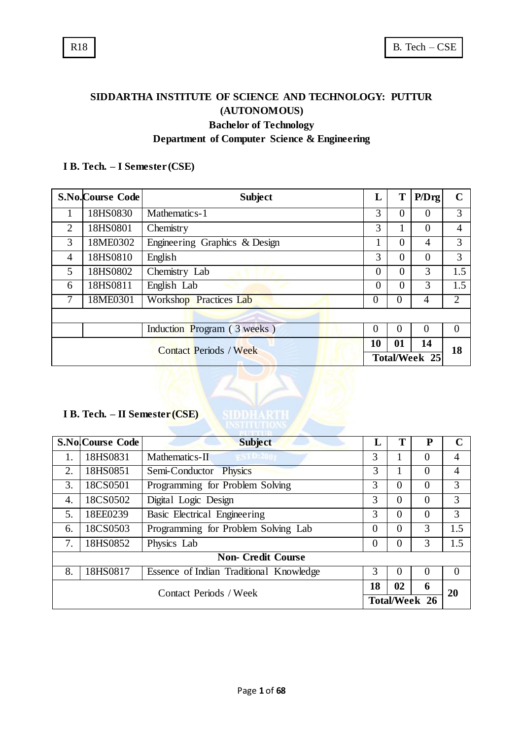# **Bachelor of Technology Department of Computer Science & Engineering**

# **I B. Tech. – I Semester (CSE)**

|                               | <b>S.No.</b> Course Code | <b>Subject</b>                |                | T                    | P/Drg          | $\mathbf C$    |
|-------------------------------|--------------------------|-------------------------------|----------------|----------------------|----------------|----------------|
|                               | 18HS0830                 | Mathematic s-1                | 3              | $\overline{0}$       | $\theta$       | 3              |
| $\overline{2}$                | 18HS0801                 | Chemistry                     | 3              |                      | $\Omega$       | $\overline{4}$ |
| 3                             | 18ME0302                 | Engineering Graphics & Design | 1              | $\overline{0}$       | 4              | 3              |
| 4                             | 18HS0810                 | English                       | 3              | $\overline{0}$       | $\overline{0}$ | 3              |
| 5                             | 18HS0802                 | Chemistry Lab                 | $\overline{0}$ | $\theta$             | 3              | 1.5            |
| 6                             | 18HS0811                 | English Lab                   | $\overline{0}$ | $\theta$             | 3              | 1.5            |
| 7                             | 18ME0301                 | Workshop Practices Lab        | 0              | $\overline{0}$       | 4              | $\overline{2}$ |
|                               |                          |                               |                |                      |                |                |
|                               |                          | Induction Program (3 weeks)   | $\overline{0}$ | $\Omega$             | $\theta$       | $\theta$       |
| <b>Contact Periods / Week</b> |                          | 10                            | 01             | 14                   | 18             |                |
|                               |                          |                               |                | <b>Total/Week 25</b> |                |                |

# **I B. Tech. – II Semester (CSE)**

|                           | <b>S.No Course Code</b> | <b>Subject</b>                          | L  | Т        | P             | C              |
|---------------------------|-------------------------|-----------------------------------------|----|----------|---------------|----------------|
| 1.                        | 18HS0831                | Mathematic $s$ -II                      | 3  |          | $\mathcal{O}$ | 4              |
| 2.                        | 18HS0851                | Semi-Conductor Physics                  | 3  |          | 0             | 4              |
| 3.                        | 18CS0501                | Programming for Problem Solving         | 3  | $\Omega$ | $\Omega$      | 3              |
| 4.                        | 18CS0502                | Digital Logic Design                    |    | $\Omega$ | 0             | 3              |
| 5.                        | 18EE0239                | Basic Electrical Engineering            | 3  | $\Omega$ | 0             | 3              |
| 6.                        | 18CS0503                | Programming for Problem Solving Lab     |    | $\Omega$ | 3             | 1.5            |
| 7.                        | 18HS0852<br>Physics Lab |                                         | 0  | $\theta$ | 3             | 1.5            |
| <b>Non- Credit Course</b> |                         |                                         |    |          |               |                |
| 8.                        | 18HS0817                | Essence of Indian Traditional Knowledge | 3  | $\Omega$ | $\Omega$      | $\overline{0}$ |
| Contact Periods / Week    |                         | 18                                      | 02 | 6        | 20            |                |
|                           |                         | <b>Total/Week 26</b>                    |    |          |               |                |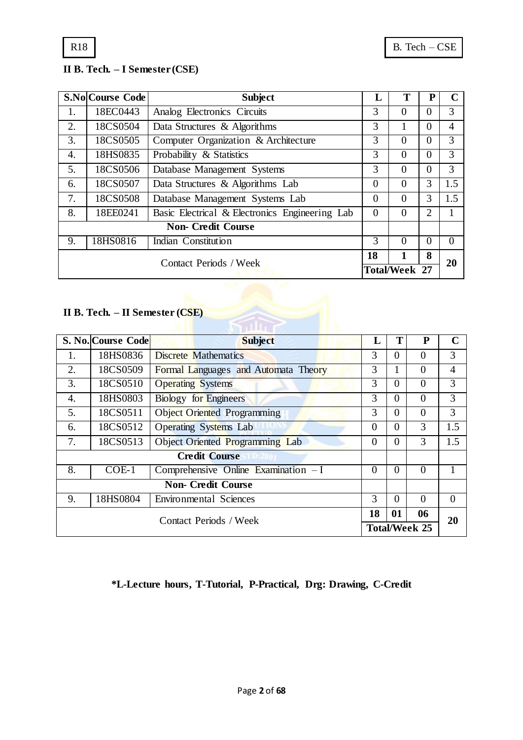

# **II B. Tech. – I Semester (CSE)**

|                        | <b>S.No Course Code</b><br><b>Subject</b> |                                                | L                    | T              | P              | C              |
|------------------------|-------------------------------------------|------------------------------------------------|----------------------|----------------|----------------|----------------|
| 1.                     | 18EC0443                                  | Analog Electronics Circuits                    | 3                    | $\theta$       | 0              | 3              |
| 2.                     | 18CS0504                                  | Data Structures & Algorithms                   | 3                    | 1              | $\overline{0}$ | $\overline{4}$ |
| 3.                     | 18CS0505                                  | Computer Organization & Architecture           | 3                    | $\theta$       | $\overline{0}$ | 3              |
| 4.                     | 18HS0835                                  | Probability & Statistics                       | 3                    | $\theta$       | $\overline{0}$ | 3              |
| 5.                     | 18CS0506                                  | Database Management Systems                    | 3                    | $\overline{0}$ | $\overline{0}$ | 3              |
| 6.                     | 18CS0507                                  | Data Structures & Algorithms Lab               | $\theta$             | $\overline{0}$ | 3              | 1.5            |
| 7.                     | 18CS0508                                  | Database Management Systems Lab                | $\Omega$             | $\theta$       | 3              | 1.5            |
| 8.                     | 18EE0241                                  | Basic Electrical & Electronics Engineering Lab | $\Omega$             | $\theta$       | $\overline{2}$ | 1              |
|                        |                                           | <b>Non- Credit Course</b>                      |                      |                |                |                |
| 9.                     | 18HS0816                                  | Indian Constitution                            | 3                    | $\theta$       | $\overline{0}$ | $\overline{0}$ |
| Contact Periods / Week |                                           | 18                                             | $\mathbf{1}$         | 8              | 20             |                |
|                        |                                           |                                                | <b>Total/Week 27</b> |                |                |                |

# **II B. Tech. – II Semester (CSE)**

|                        | <b>S. No. Course Code</b> | <b>Subject</b>                         | L        | Т        | P        | $\mathbf C$ |
|------------------------|---------------------------|----------------------------------------|----------|----------|----------|-------------|
| 1.                     | 18HS0836                  | <b>Discrete Mathematics</b>            | 3        | $\Omega$ | $\Omega$ | 3           |
| 2.                     | 18CS0509                  | Formal Languages and Automata Theory   | 3        |          | $\Omega$ | 4           |
| 3.                     | 18CS0510                  | <b>Operating Systems</b>               | 3        | $\Omega$ | $\Omega$ | 3           |
| 4.                     | 18HS0803                  | <b>Biology</b> for Engineers           | 3        | $\Omega$ | $\Omega$ | 3           |
| 5.                     | 18CS0511                  | <b>Object Oriented Programming</b>     | 3        | $\Omega$ | $\Omega$ | 3           |
| 6.                     | 18CS0512                  | <b>Operating Systems Lab</b>           | $\theta$ | $\Omega$ | 3        | 1.5         |
| 7.                     | 18CS0513                  | <b>Object Oriented Programming Lab</b> | $\theta$ | $\Omega$ | 3        | 1.5         |
|                        | <b>Credit Course</b>      |                                        |          |          |          |             |
| 8.                     | $COE-1$                   | Comprehensive Online Examination $-I$  | $\theta$ | $\Omega$ | $\Omega$ |             |
|                        | <b>Non- Credit Course</b> |                                        |          |          |          |             |
| 9.                     | 18HS0804                  | <b>Environmental Sciences</b>          | 3        | $\Omega$ | $\Omega$ | $\theta$    |
| Contact Periods / Week |                           | 18                                     | 01       | 06       | 20       |             |
|                        |                           | <b>Total/Week 25</b>                   |          |          |          |             |

# **\*L-Lecture hours, T-Tutorial, P-Practical, Drg: Drawing, C-Credit**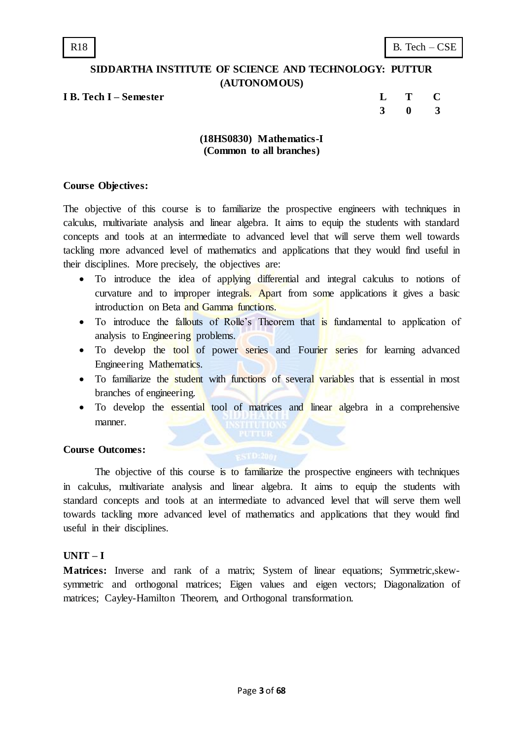**I B. Tech I – Semester** 

| $\bf{L}$ | Т | U. |
|----------|---|----|
| 3        | 0 | 3  |

# **(18HS0830) Mathematics-I (Common to all branches)**

#### **Course Objectives:**

The objective of this course is to familiarize the prospective engineers with techniques in calculus, multivariate analysis and linear algebra. It aims to equip the students with standard concepts and tools at an intermediate to advanced level that will serve them well towards tackling more advanced level of mathematics and applications that they would find useful in their disciplines. More precisely, the objectives are:

- To introduce the idea of applying differential and integral calculus to notions of curvature and to improper integrals. Apart from some applications it gives a basic introduction on Beta and Gamma functions.
- To introduce the fallouts of Rolle's Theorem that is fundamental to application of analysis to Engineering problems.
- To develop the tool of power series and Fourier series for learning advanced Engineering Mathematics.
- To familiarize the student with functions of several variables that is essential in most branches of engineering.
- To develop the essential tool of matrices and linear algebra in a comprehensive manner.

# **Course Outcomes:**

The objective of this course is to familiarize the prospective engineers with techniques in calculus, multivariate analysis and linear algebra. It aims to equip the students with standard concepts and tools at an intermediate to advanced level that will serve them well towards tackling more advanced level of mathematics and applications that they would find useful in their disciplines.

# **UNIT – I**

**Matrices:** Inverse and rank of a matrix; System of linear equations; Symmetric,skewsymmetric and orthogonal matrices; Eigen values and eigen vectors; Diagonalization of matrices; Cayley-Hamilton Theorem, and Orthogonal transformation.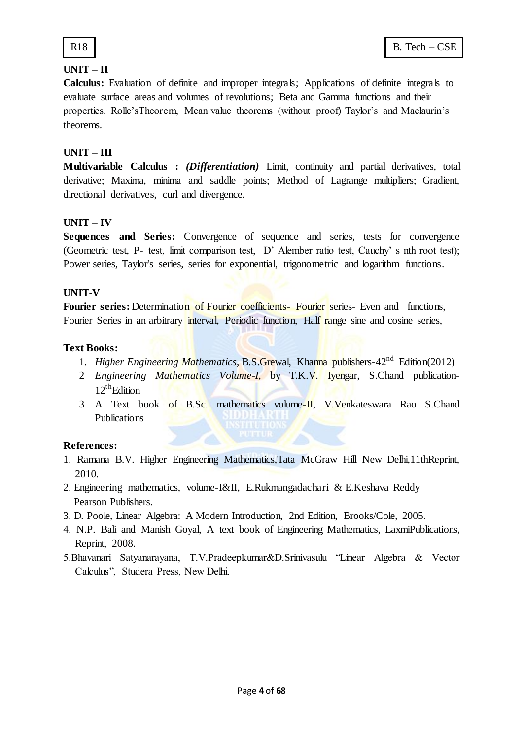

# **UNIT – II**

**Calculus:** Evaluation of definite and improper integrals; Applications of definite integrals to evaluate surface areas and volumes of revolutions; Beta and Gamma functions and their properties. Rolle'sTheorem, Mean value theorems (without proof) Taylor's and Maclaurin's theorems.

# **UNIT – III**

**Multivariable Calculus :** *(Differentiation)* Limit, continuity and partial derivatives, total derivative; Maxima, minima and saddle points; Method of Lagrange multipliers; Gradient, directional derivatives, curl and divergence.

# **UNIT – IV**

**Sequences and Series:** Convergence of sequence and series, tests for convergence (Geometric test, P- test, limit comparison test, D" Alember ratio test, Cauchy" s nth root test); Power series, Taylor's series, series for exponential, trigonometric and logarithm functions.

# **UNIT-V**

**Fourier series:** Determination of Fourier coefficients- Fourier series- Even and functions, Fourier Series in an arbitrary interval, Periodic function, Half range sine and cosine series,

# **Text Books:**

- 1. *Higher Engineering Mathematics*, B.S.Grewal, Khanna publishers-42nd Edition(2012)
- 2 *Engineering Mathematics Volume-I,* by T.K.V. Iyengar, S.Chand publication- $12^{\text{th}}$ Edition
- 3 A Text book of B.Sc. mathematics volume-II, V.Venkateswara Rao S.Chand Publications

# **References:**

- 1. Ramana B.V. Higher Engineering Mathematics,Tata McGraw Hill New Delhi,11thReprint, 2010.
- 2. Engineering mathematics, volume-I&II, E.Rukmangadachari & E.Keshava Reddy Pearson Publishers.
- 3. D. Poole, Linear Algebra: A Modern Introduction, 2nd Edition, Brooks/Cole, 2005.
- 4. N.P. Bali and Manish Goyal, A text book of Engineering Mathematics, LaxmiPublications, Reprint, 2008.
- 5.Bhavanari Satyanarayana, T.V.Pradeepkumar&D.Srinivasulu "Linear Algebra & Vector Calculus", Studera Press, New Delhi.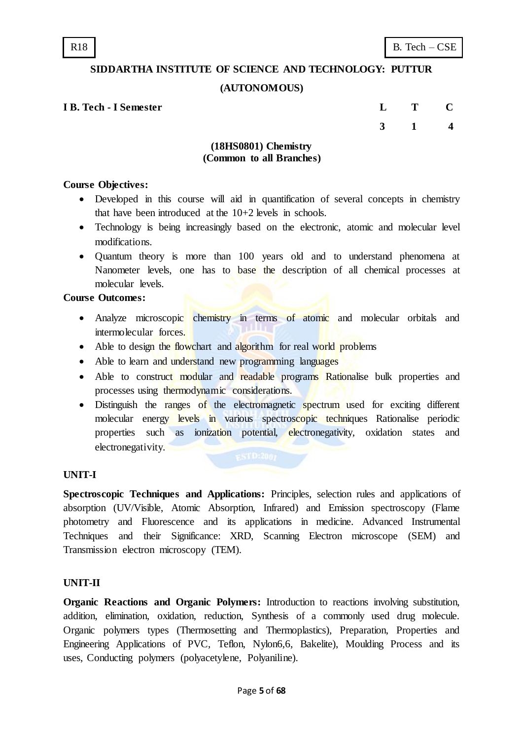**SIDDARTHA INSTITUTE OF SCIENCE AND TECHNOLOGY: PUTTUR**

#### **(AUTONOMOUS)**

#### $I$  **B.** Tech - **I** Semester

| L  | T | C |
|----|---|---|
| -3 | 1 | 4 |

# **(18HS0801) Chemistry (Common to all Branches)**

#### **Course Objectives:**

- Developed in this course will aid in quantification of several concepts in chemistry that have been introduced at the 10+2 levels in schools.
- Technology is being increasingly based on the electronic, atomic and molecular level modifications.
- Quantum theory is more than 100 years old and to understand phenomena at Nanometer levels, one has to base the description of all chemical processes at molecular levels.

#### **Course Outcomes:**

- Analyze microscopic chemistry in terms of atomic and molecular orbitals and intermolecular forces.
- Able to design the flowchart and algorithm for real world problems
- Able to learn and understand new programming languages
- Able to construct modular and readable programs Rationalise bulk properties and processes using thermodynamic considerations.
- Distinguish the ranges of the electromagnetic spectrum used for exciting different molecular energy levels in various spectroscopic techniques Rationalise periodic properties such as ionization potential, electronegativity, oxidation states and electronegativity.

#### **UNIT-I**

**Spectroscopic Techniques and Applications:** Principles, selection rules and applications of absorption (UV/Visible, Atomic Absorption, Infrared) and Emission spectroscopy (Flame photometry and Fluorescence and its applications in medicine. Advanced Instrumental Techniques and their Significance: XRD, Scanning Electron microscope (SEM) and Transmission electron microscopy (TEM).

#### **UNIT-II**

**Organic Reactions and Organic Polymers:** Introduction to reactions involving substitution, addition, elimination, oxidation, reduction, Synthesis of a commonly used drug molecule. Organic polymers types (Thermosetting and Thermoplastics), Preparation, Properties and Engineering Applications of PVC, Teflon, Nylon6,6, Bakelite), Moulding Process and its uses, Conducting polymers (polyacetylene, Polyaniline).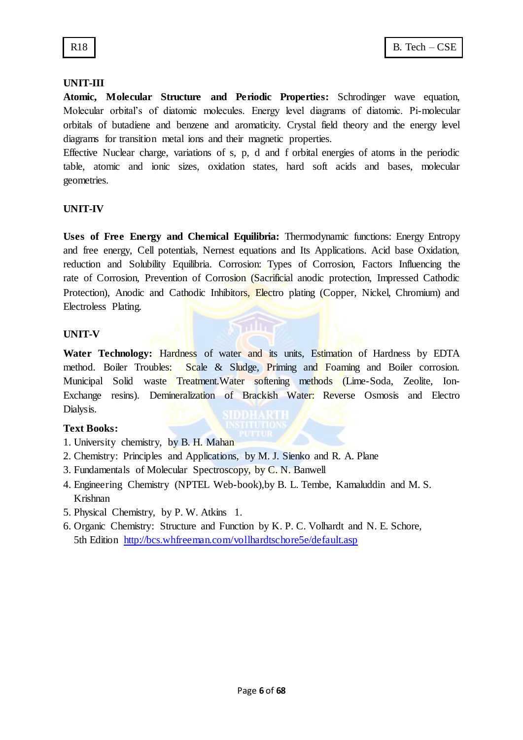# **UNIT-III**

**Atomic, Molecular Structure and Periodic Properties:** Schrodinger wave equation, Molecular orbital"s of diatomic molecules. Energy level diagrams of diatomic. Pi-molecular orbitals of butadiene and benzene and aromaticity. Crystal field theory and the energy level diagrams for transition metal ions and their magnetic properties.

Effective Nuclear charge, variations of s, p, d and f orbital energies of atoms in the periodic table, atomic and ionic sizes, oxidation states, hard soft acids and bases, molecular geometries.

# **UNIT-IV**

**Uses of Free Energy and Chemical Equilibria:** Thermodynamic functions: Energy Entropy and free energy, Cell potentials, Nernest equations and Its Applications. Acid base Oxidation, reduction and Solubility Equilibria. Corrosion: Types of Corrosion, Factors Influencing the rate of Corrosion, Prevention of Corrosion (Sacrificial anodic protection, Impressed Cathodic Protection), Anodic and Cathodic Inhibitors, Electro plating (Copper, Nickel, Chromium) and Electroless Plating.

## **UNIT-V**

Water Technology: Hardness of water and its units, Estimation of Hardness by EDTA method. Boiler Troubles: Scale & Sludge, Priming and Foaming and Boiler corrosion. Municipal Solid waste Treatment.Water softening methods (Lime-Soda, Zeolite, Ion-Exchange resins). Demineralization of Brackish Water: Reverse Osmosis and Electro Dialysis.

**Milli** 

# **Text Books:**

- 1. University chemistry, by B. H. Mahan
- 2. Chemistry: Principles and Applications, by M. J. Sienko and R. A. Plane
- 3. Fundamentals of Molecular Spectroscopy, by C. N. Banwell
- 4. Engineering Chemistry (NPTEL Web-book),by B. L. Tembe, Kamaluddin and M. S. Krishnan
- 5. Physical Chemistry, by P. W. Atkins 1.
- 6. Organic Chemistry: Structure and Function by K. P. C. Volhardt and N. E. Schore, 5th Edition <http://bcs.whfreeman.com/vollhardtschore5e/default.asp>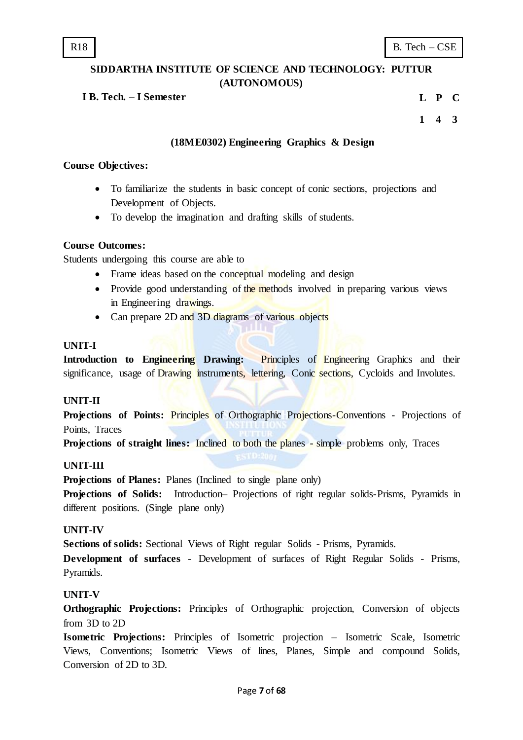## **I B. Tech. – I Semester**

#### **L P C**

**1 4 3**

# **(18ME0302) Engineering Graphics & Design**

#### **Course Objectives:**

- To familiarize the students in basic concept of conic sections, projections and Development of Objects.
- To develop the imagination and drafting skills of students.

## **Course Outcomes:**

Students undergoing this course are able to

- Frame ideas based on the conceptual modeling and design
- Provide good understanding of the methods involved in preparing various views in Engineering drawings.
- Can prepare 2D and 3D diagrams of various objects

## **UNIT-I**

**Introduction to Engineering Drawing:** Principles of Engineering Graphics and their significance, usage of Drawing instruments, lettering, Conic sections, Cycloids and Involutes.

# **UNIT-II**

**Projections of Points: Principles of Orthographic Projections-Conventions - Projections of** Points, Traces

**Projections of straight lines:** Inclined to both the planes - simple problems only, Traces

# **UNIT-III**

**Projections of Planes:** Planes (Inclined to single plane only)

**Projections of Solids:** Introduction– Projections of right regular solids-Prisms, Pyramids in different positions. (Single plane only)

# **UNIT-IV**

**Sections of solids:** Sectional Views of Right regular Solids - Prisms, Pyramids.

**Development of surfaces** - Development of surfaces of Right Regular Solids - Prisms, Pyramids.

# **UNIT-V**

**Orthographic Projections:** Principles of Orthographic projection, Conversion of objects from 3D to 2D

**Isometric Projections:** Principles of Isometric projection – Isometric Scale, Isometric Views, Conventions; Isometric Views of lines, Planes, Simple and compound Solids, Conversion of 2D to 3D.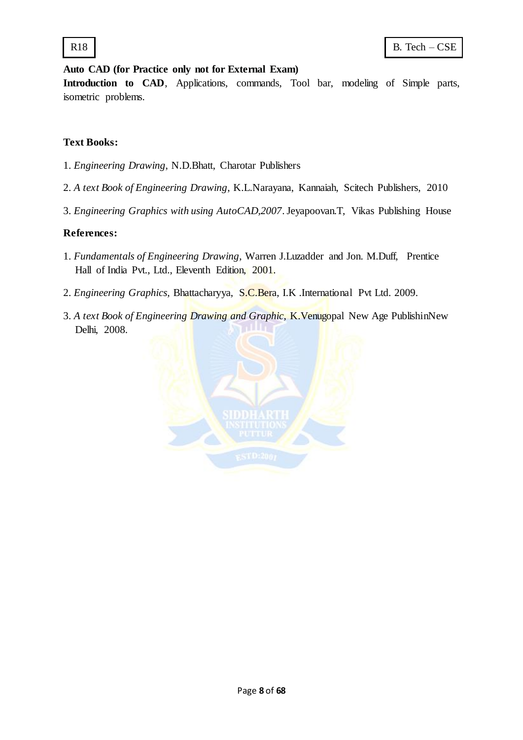# **Auto CAD (for Practice only not for External Exam)**

**Introduction to CAD**, Applications, commands, Tool bar, modeling of Simple parts, isometric problems.

# **Text Books:**

- 1. *Engineering Drawing*, N.D.Bhatt, Charotar Publishers
- 2. *A text Book of Engineering Drawing*, K.L.Narayana, Kannaiah, Scitech Publishers, 2010
- 3. *Engineering Graphics with using AutoCAD,2007*. Jeyapoovan.T, Vikas Publishing House

# **References:**

- 1. *Fundamentals of Engineering Drawing*, Warren J.Luzadder and Jon. M.Duff, Prentice Hall of India Pvt., Ltd., Eleventh Edition, 2001.
- 2. *Engineering Graphics,* Bhattacharyya, S.C.Bera, I.K .International Pvt Ltd. 2009.
- 3. *A text Book of Engineering Drawing and Graphic,* K.Venugopal New Age PublishinNew Delhi, 2008.

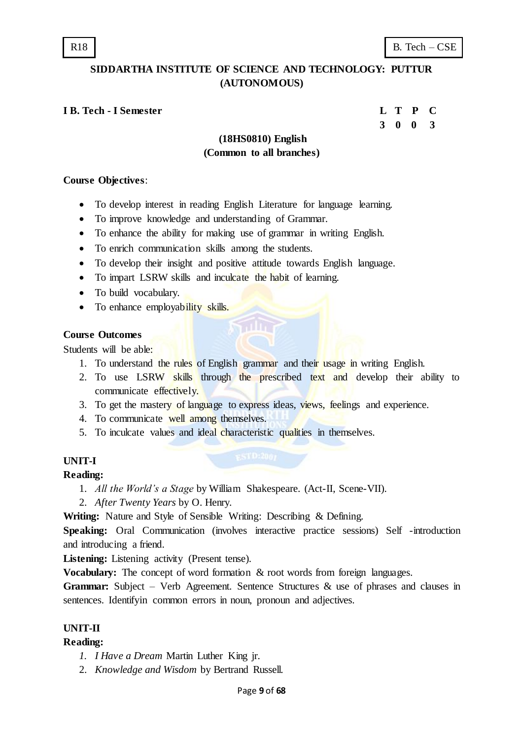# **I B. Tech - I Semester L T P C**

**3 0 0 3**

# **(18HS0810) English (Common to all branches)**

#### **Course Objectives**:

- To develop interest in reading English Literature for language learning.
- To improve knowledge and understanding of Grammar.
- To enhance the ability for making use of grammar in writing English.
- To enrich communication skills among the students.
- To develop their insight and positive attitude towards English language.
- To impart LSRW skills and inculcate the habit of learning.
- To build vocabulary.
- To enhance employability skills.

#### **Course Outcomes**

Students will be able:

- 1. To understand the rules of English grammar and their usage in writing English.
- 2. To use LSRW skills through the prescribed text and develop their ability to communicate effectively.
- 3. To get the mastery of language to express ideas, views, feelings and experience.
- 4. To communicate well among themselves.
- 5. To inculcate values and ideal characteristic qualities in themselves.

#### **UNIT-I**

#### **Reading:**

- 1. *All the World's a Stage* by William Shakespeare. (Act-II, Scene-VII).
- 2. *After Twenty Years* by O. Henry.

**Writing:** Nature and Style of Sensible Writing: Describing & Defining.

**Speaking:** Oral Communication (involves interactive practice sessions) Self -introduction and introducing a friend.

**Listening:** Listening activity (Present tense).

**Vocabulary:** The concept of word formation & root words from foreign languages.

**Grammar:** Subject – Verb Agreement. Sentence Structures & use of phrases and clauses in sentences. Identifyin common errors in noun, pronoun and adjectives.

#### **UNIT-II**

#### **Reading:**

- *1. I Have a Dream* Martin Luther King jr.
- 2. *Knowledge and Wisdom* by Bertrand Russell.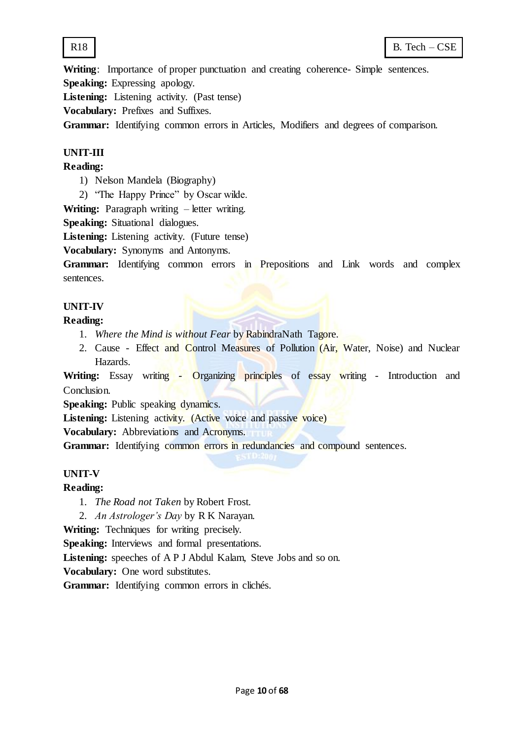

**Writing**: Importance of proper punctuation and creating coherence- Simple sentences. **Speaking:** Expressing apology.

**Listening:** Listening activity. (Past tense)

**Vocabulary:** Prefixes and Suffixes.

**Grammar:** Identifying common errors in Articles, Modifiers and degrees of comparison.

## **UNIT-III**

## **Reading:**

1) Nelson Mandela (Biography)

2) "The Happy Prince" by Oscar wilde.

**Writing:** Paragraph writing – letter writing.

**Speaking:** Situational dialogues.

**Listening:** Listening activity. (Future tense)

**Vocabulary:** Synonyms and Antonyms.

**Grammar:** Identifying common errors in Prepositions and Link words and complex sentences.

# **UNIT-IV**

## **Reading:**

- 1. *Where the Mind is without Fear* by RabindraNath Tagore.
- 2. Cause Effect and Control Measures of Pollution (Air, Water, Noise) and Nuclear Hazards.

Writing: Essay writing - Organizing principles of essay writing - Introduction and Conclusion.

**Speaking:** Public speaking dynamics.

Listening: Listening activity. (Active voice and passive voice)

**Vocabulary:** Abbreviations and Acronyms.

Grammar: Identifying common errors in redundancies and compound sentences.

#### **UNIT-V**

#### **Reading:**

1. *The Road not Taken* by Robert Frost.

2. *An Astrologer's Day* by R K Narayan.

**Writing:** Techniques for writing precisely.

**Speaking:** Interviews and formal presentations.

**Listening:** speeches of A P J Abdul Kalam, Steve Jobs and so on.

**Vocabulary:** One word substitutes.

Grammar: Identifying common errors in clichés.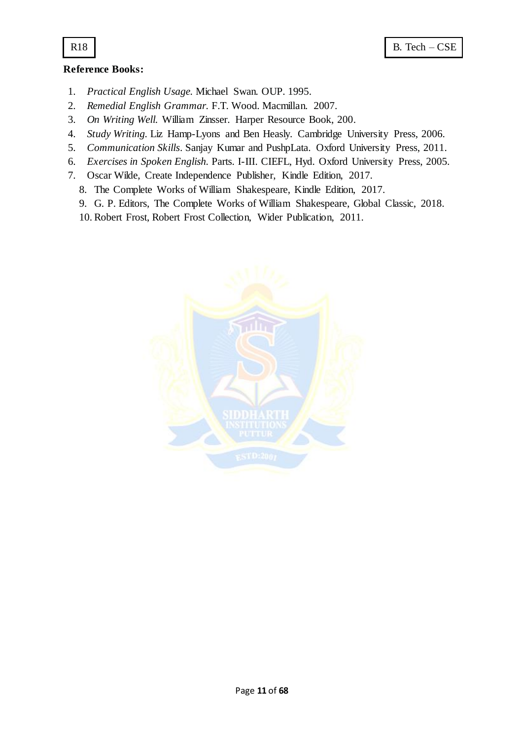# **Reference Books:**

- 1. *Practical English Usage.* Michael Swan. OUP. 1995.
- 2. *Remedial English Grammar.* F.T. Wood. Macmillan. 2007.
- 3. *On Writing Well.* William Zinsser. Harper Resource Book, 200.
- 4. *Study Writing.* Liz Hamp-Lyons and Ben Heasly. Cambridge University Press, 2006.
- 5. *Communication Skills*. Sanjay Kumar and PushpLata. Oxford University Press, 2011.
- 6. *Exercises in Spoken English.* Parts. I-III. CIEFL, Hyd. Oxford University Press, 2005.
- 7. Oscar Wilde, Create Independence Publisher, Kindle Edition, 2017.
	- 8. The Complete Works of William Shakespeare, Kindle Edition, 2017.
	- 9. G. P. Editors, The Complete Works of William Shakespeare, Global Classic, 2018.

10. Robert Frost, Robert Frost Collection, Wider Publication, 2011.

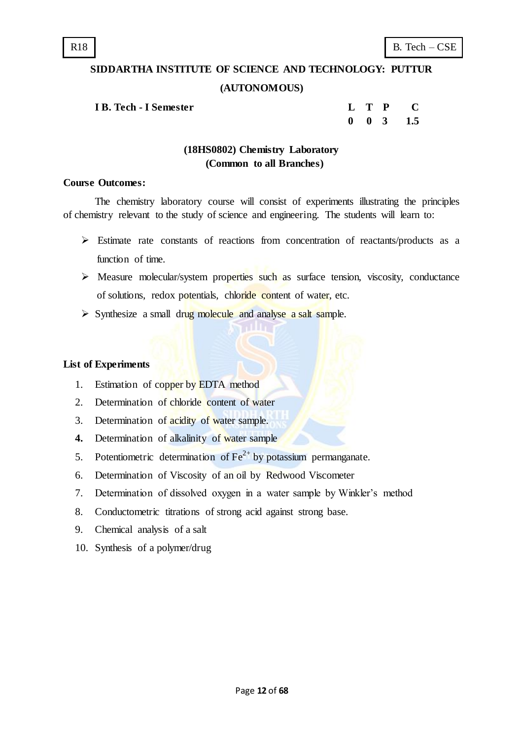## **SIDDARTHA INSTITUTE OF SCIENCE AND TECHNOLOGY: PUTTUR**

#### **(AUTONOMOUS)**

**IB. Tech - I Semester** 

| L | T P |      | O   |
|---|-----|------|-----|
| 0 | 0   | $-3$ | 1.5 |

# **(18HS0802) Chemistry Laboratory (Common to all Branches)**

### **Course Outcomes:**

The chemistry laboratory course will consist of experiments illustrating the principles of chemistry relevant to the study of science and engineering. The students will learn to:

- Estimate rate constants of reactions from concentration of reactants/products as a function of time.
- $\triangleright$  Measure molecular/system properties such as surface tension, viscosity, conductance of solutions, redox potentials, chloride content of water, etc.
- $\triangleright$  Synthesize a small drug molecule and analyse a salt sample.

#### **List of Experiments**

- 1. Estimation of copper by EDTA method
- 2. Determination of chloride content of water
- 3. Determination of acidity of water sample.
- **4.** Determination of alkalinity of water sample
- 5. Potentiometric determination of  $\text{Fe}^{2+}$  by potassium permanganate.
- 6. Determination of Viscosity of an oil by Redwood Viscometer
- 7. Determination of dissolved oxygen in a water sample by Winkler"s method
- 8. Conductometric titrations of strong acid against strong base.
- 9. Chemical analysis of a salt
- 10. Synthesis of a polymer/drug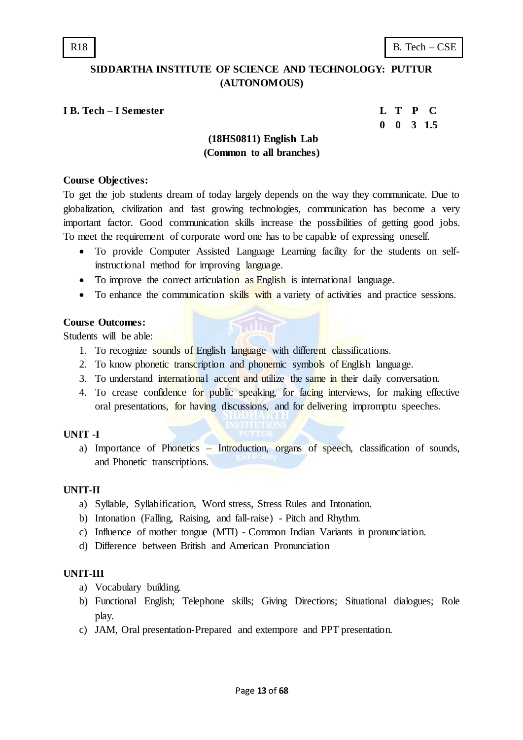# **I B. Tech – I Semester L T P C**

**0 0 3 1.5**

# **(18HS0811) English Lab (Common to all branches)**

#### **Course Objectives:**

To get the job students dream of today largely depends on the way they communicate. Due to globalization, civilization and fast growing technologies, communication has become a very important factor. Good communication skills increase the possibilities of getting good jobs. To meet the requirement of corporate word one has to be capable of expressing oneself.

- To provide Computer Assisted Language Learning facility for the students on selfinstructional method for improving language.
- To improve the correct articulation as English is international language.
- To enhance the communication skills with a variety of activities and practice sessions.

#### **Course Outcomes:**

Students will be able:

- 1. To recognize sounds of English language with different classifications.
- 2. To know phonetic transcription and phonemic symbols of English language.

**RTILLT** 

- 3. To understand international accent and utilize the same in their daily conversation.
- 4. To crease confidence for public speaking, for facing interviews, for making effective oral presentations, for having discussions, and for delivering impromptu speeches.

#### **UNIT -I**

a) Importance of Phonetics – Introduction, organs of speech, classification of sounds, and Phonetic transcriptions.

#### **UNIT-II**

- a) Syllable, Syllabification, Word stress, Stress Rules and Intonation.
- b) Intonation (Falling, Raising, and fall-raise) Pitch and Rhythm.
- c) Influence of mother tongue (MTI) Common Indian Variants in pronunciation.
- d) Difference between British and American Pronunciation

#### **UNIT-III**

- a) Vocabulary building.
- b) Functional English; Telephone skills; Giving Directions; Situational dialogues; Role play.
- c) JAM, Oral presentation-Prepared and extempore and PPT presentation.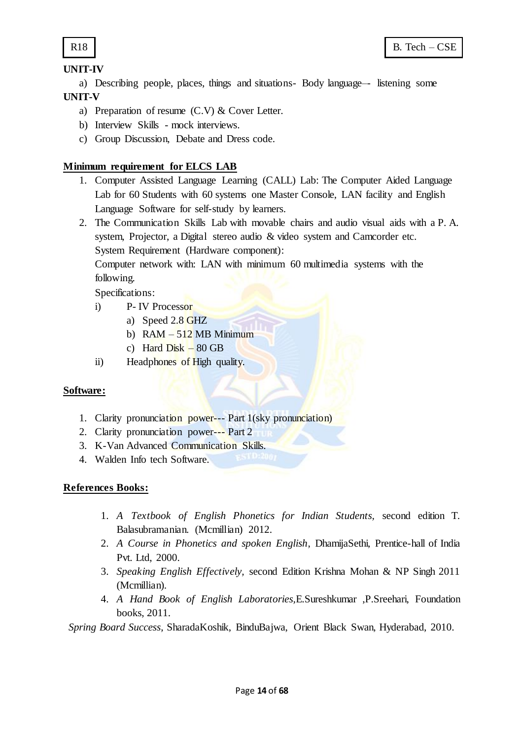

# **UNIT-IV**

a) Describing people, places, things and situations- Body language–- listening some **UNIT-V**

- a) Preparation of resume (C.V) & Cover Letter.
- b) Interview Skills mock interviews.
- c) Group Discussion, Debate and Dress code.

# **Minimum requirement for ELCS LAB**

- 1. Computer Assisted Language Learning (CALL) Lab: The Computer Aided Language Lab for 60 Students with 60 systems one Master Console, LAN facility and English Language Software for self-study by learners.
- 2. The Communication Skills Lab with movable chairs and audio visual aids with a P. A. system, Projector, a Digital stereo audio & video system and Camcorder etc. System Requirement (Hardware component):

Computer network with: LAN with minimum 60 multimedia systems with the following.

Specifications:

- i) P- IV Processor
	- a) Speed 2.8 GHZ
		- b)  $RAM 512 MB Minimum$
		- c) Hard  $Disk 80 GB$
- ii) Headphones of High quality.

# **Software:**

- 1. Clarity pronunciation power--- Part 1(sky pronunciation)
- 2. Clarity pronunciation power--- Part 2
- 3. K-Van Advanced Communication Skills.
- 4. Walden Info tech Software.

# **References Books:**

- 1. *A Textbook of English Phonetics for Indian Students,* second edition T. Balasubramanian. (Mcmillian) 2012.
- 2. *A Course in Phonetics and spoken English*, DhamijaSethi, Prentice-hall of India Pvt. Ltd, 2000.
- 3. *Speaking English Effectively,* second Edition Krishna Mohan & NP Singh 2011 (Mcmillian).
- 4. *A Hand Book of English Laboratories,*E.Sureshkumar ,P.Sreehari, Foundation books, 2011.

*Spring Board Success*, SharadaKoshik, BinduBajwa, Orient Black Swan, Hyderabad, 2010.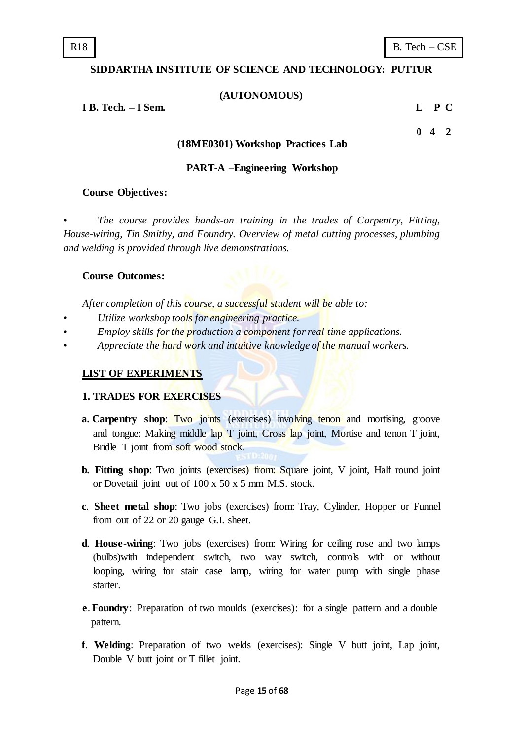#### **SIDDARTHA INSTITUTE OF SCIENCE AND TECHNOLOGY: PUTTUR**

#### **(AUTONOMOUS)**

**I B. Tech. – I Sem. L P C**

**0 4 2**

#### **(18ME0301) Workshop Practices Lab**

#### **PART-A –Engineering Workshop**

#### **Course Objectives:**

• *The course provides hands-on training in the trades of Carpentry, Fitting, House-wiring, Tin Smithy, and Foundry. Overview of metal cutting processes, plumbing and welding is provided through live demonstrations.*

#### **Course Outcomes:**

*After completion of this course, a successful student will be able to:*

- *Utilize workshop tools for engineering practice.*
- *Employ skills for the production a component for real time applications.*
- *Appreciate the hard work and intuitive knowledge of the manual workers.*

#### **LIST OF EXPERIMENTS**

#### **1. TRADES FOR EXERCISES**

- **a.** Carpentry shop: Two joints (exercises) involving tenon and mortising, groove and tongue: Making middle lap T joint, Cross lap joint, Mortise and tenon T joint, Bridle T joint from soft wood stock.
- **b. Fitting shop**: Two joints (exercises) from: Square joint, V joint, Half round joint or Dovetail joint out of 100 x 50 x 5 mm M.S. stock.
- **c**. **Sheet metal shop**: Two jobs (exercises) from: Tray, Cylinder, Hopper or Funnel from out of 22 or 20 gauge G.I. sheet.
- **d**. **House-wiring**: Two jobs (exercises) from: Wiring for ceiling rose and two lamps (bulbs)with independent switch, two way switch, controls with or without looping, wiring for stair case lamp, wiring for water pump with single phase starter.
- **e**. **Foundry**: Preparation of two moulds (exercises): for a single pattern and a double pattern.
- **f**. **Welding**: Preparation of two welds (exercises): Single V butt joint, Lap joint, Double V butt joint or T fillet joint.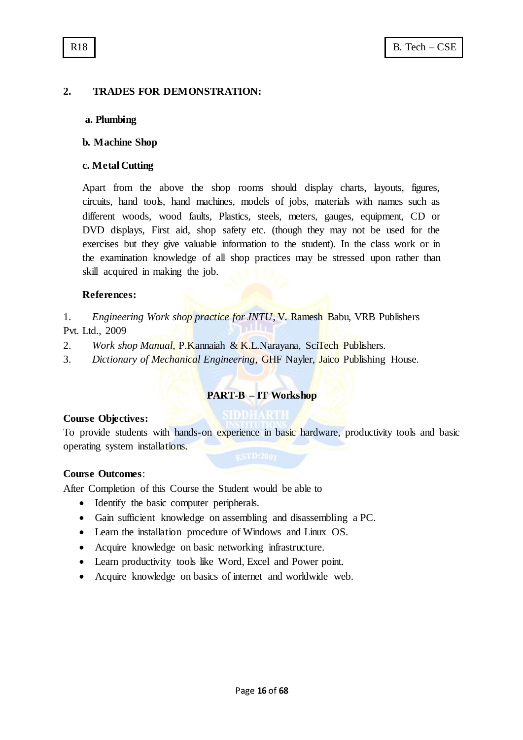# **2. TRADES FOR DEMONSTRATION:**

## **a. Plumbing**

## **b. Machine Shop**

## **c. Metal Cutting**

Apart from the above the shop rooms should display charts, layouts, figures, circuits, hand tools, hand machines, models of jobs, materials with names such as different woods, wood faults, Plastics, steels, meters, gauges, equipment, CD or DVD displays, First aid, shop safety etc. (though they may not be used for the exercises but they give valuable information to the student). In the class work or in the examination knowledge of all shop practices may be stressed upon rather than skill acquired in making the job.

#### **References:**

- 1. *Engineering Work shop practice for JNTU*, V. Ramesh Babu, VRB Publishers Pvt. Ltd., 2009
- 2. *Work shop Manual*, P.Kannaiah & K.L.Narayana, SciTech Publishers.
- 3. *Dictionary of Mechanical Engineering*, GHF Nayler, Jaico Publishing House.

# **PART-B – IT Workshop**

#### **Course Objectives:**

To provide students with hands-on experience in basic hardware, productivity tools and basic operating system installations.

# **Course Outcomes**:

After Completion of this Course the Student would be able to

- Identify the basic computer peripherals.
- Gain sufficient knowledge on assembling and disassembling a PC.
- Learn the installation procedure of Windows and Linux OS.
- Acquire knowledge on basic networking infrastructure.
- Learn productivity tools like Word, Excel and Power point.
- Acquire knowledge on basics of internet and worldwide web.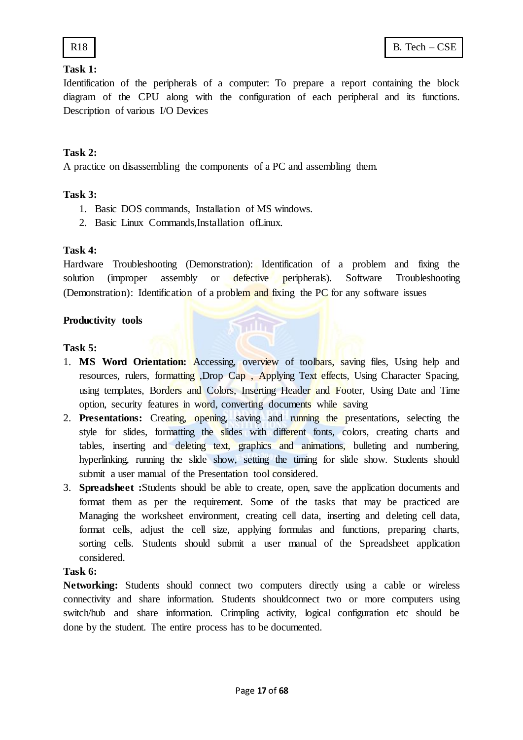

# **Task 1:**

Identification of the peripherals of a computer: To prepare a report containing the block diagram of the CPU along with the configuration of each peripheral and its functions. Description of various I/O Devices

# **Task 2:**

A practice on disassembling the components of a PC and assembling them.

## **Task 3:**

- 1. Basic DOS commands, Installation of MS windows.
- 2. Basic Linux Commands,Installation ofLinux.

#### **Task 4:**

Hardware Troubleshooting (Demonstration): Identification of a problem and fixing the solution (improper assembly or defective peripherals). Software Troubleshooting (Demonstration): Identification of a problem and fixing the PC for any software issues

**Tulli** 

## **Productivity tools**

## **Task 5:**

- 1. **MS Word Orientation:** Accessing, overview of toolbars, saving files, Using help and resources, rulers, formatting ,Drop Cap , Applying Text effects, Using Character Spacing, using templates, Borders and Colors, Inserting Header and Footer, Using Date and Time option, security features in word, converting documents while saving
- 2. **Presentations:** Creating, opening, saving and running the presentations, selecting the style for slides, formatting the slides with different fonts, colors, creating charts and tables, inserting and deleting text, graphics and animations, bulleting and numbering, hyperlinking, running the slide show, setting the timing for slide show. Students should submit a user manual of the Presentation tool considered.
- 3. **Spreadsheet :**Students should be able to create, open, save the application documents and format them as per the requirement. Some of the tasks that may be practiced are Managing the worksheet environment, creating cell data, inserting and deleting cell data, format cells, adjust the cell size, applying formulas and functions, preparing charts, sorting cells. Students should submit a user manual of the Spreadsheet application considered.

#### **Task 6:**

**Networking:** Students should connect two computers directly using a cable or wireless connectivity and share information. Students shouldconnect two or more computers using switch/hub and share information. Crimpling activity, logical configuration etc should be done by the student. The entire process has to be documented.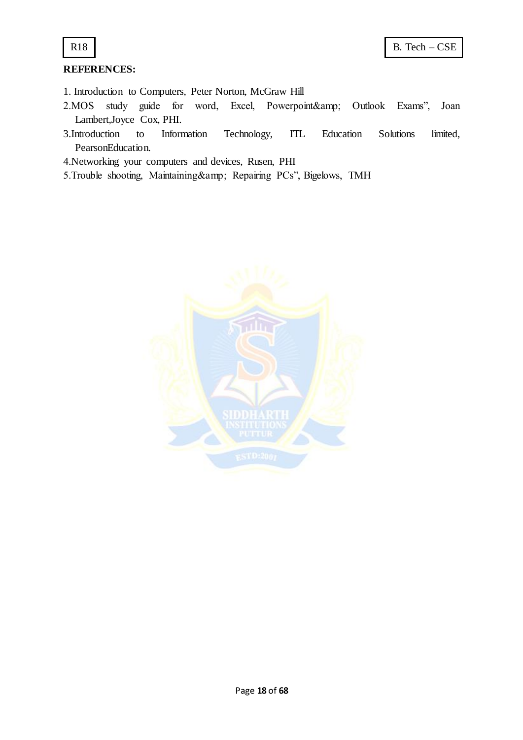# **REFERENCES:**

- 1. Introduction to Computers, Peter Norton, McGraw Hill
- 2.MOS study guide for word, Excel, Powerpoint& Outlook Exams", Joan Lambert,Joyce Cox, PHI.
- 3.Introduction to Information Technology, ITL Education Solutions limited, PearsonEducation.
- 4.Networking your computers and devices, Rusen, PHI
- 5.Trouble shooting, Maintaining& Repairing PCs", Bigelows, TMH

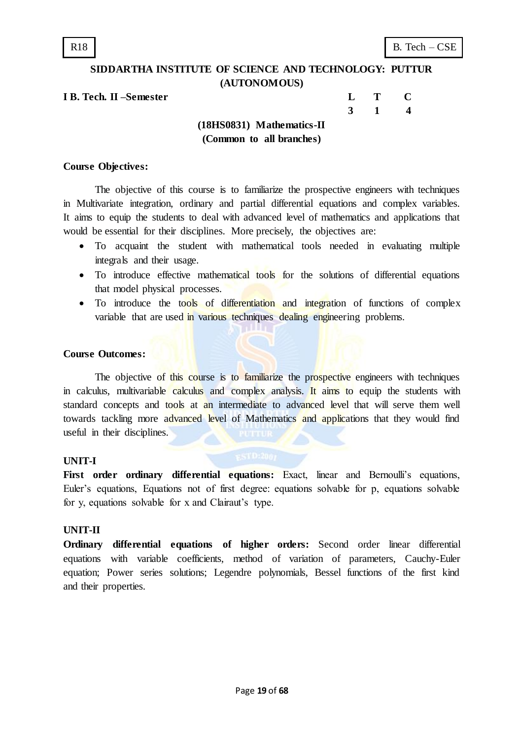**IB.** Tech. **II** –Semester

| L | т | C |
|---|---|---|
| 3 |   | 4 |

# **(18HS0831) Mathematics-II (Common to all branches)**

#### **Course Objectives:**

The objective of this course is to familiarize the prospective engineers with techniques in Multivariate integration, ordinary and partial differential equations and complex variables. It aims to equip the students to deal with advanced level of mathematics and applications that would be essential for their disciplines. More precisely, the objectives are:

- To acquaint the student with mathematical tools needed in evaluating multiple integrals and their usage.
- To introduce effective mathematical tools for the solutions of differential equations that model physical processes.
- To introduce the tools of differentiation and integration of functions of complex variable that are used in various techniques dealing engineering problems.

#### **Course Outcomes:**

The objective of this course is to familiarize the prospective engineers with techniques in calculus, multivariable calculus and complex analysis. It aims to equip the students with standard concepts and tools at an intermediate to advanced level that will serve them well towards tackling more advanced level of Mathematics and applications that they would find useful in their disciplines.

#### **UNIT-I**

First order ordinary differential equations: Exact, linear and Bernoulli's equations, Euler's equations, Equations not of first degree: equations solvable for p, equations solvable for y, equations solvable for x and Clairaut's type.

#### **UNIT-II**

**Ordinary differential equations of higher orders:** Second order linear differential equations with variable coefficients, method of variation of parameters, Cauchy-Euler equation; Power series solutions; Legendre polynomials, Bessel functions of the first kind and their properties.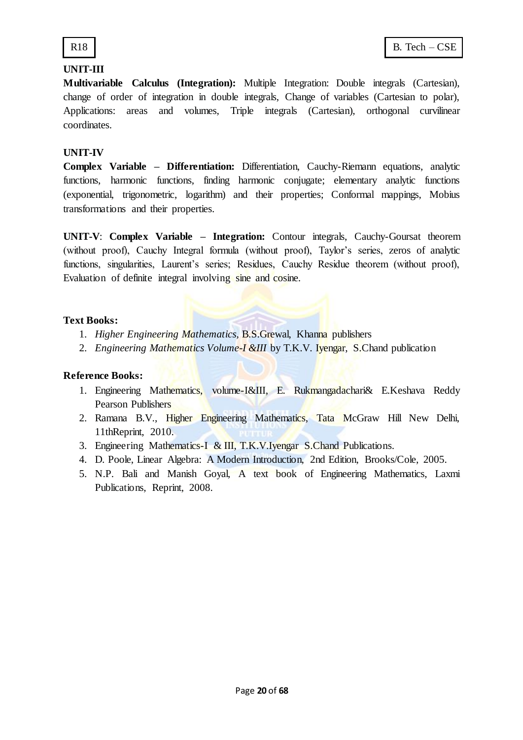

# **UNIT-III**

**Multivariable Calculus (Integration):** Multiple Integration: Double integrals (Cartesian), change of order of integration in double integrals, Change of variables (Cartesian to polar), Applications: areas and volumes, Triple integrals (Cartesian), orthogonal curvilinear coordinates.

# **UNIT-IV**

**Complex Variable – Differentiation:** Differentiation, Cauchy-Riemann equations, analytic functions, harmonic functions, finding harmonic conjugate; elementary analytic functions (exponential, trigonometric, logarithm) and their properties; Conformal mappings, Mobius transformations and their properties.

**UNIT-V**: **Complex Variable – Integration:** Contour integrals, Cauchy-Goursat theorem (without proof), Cauchy Integral formula (without proof), Taylor"s series, zeros of analytic functions, singularities, Laurent's series; Residues, Cauchy Residue theorem (without proof), Evaluation of definite integral involving sine and cosine.

# **Text Books:**

- 1. *Higher Engineering Mathematics,* B.S.Grewal, Khanna publishers
- 2. *Engineering Mathematics Volume-I &III* by T.K.V. Iyengar, S.Chand publication

# **Reference Books:**

- 1. Engineering Mathematics, volume-I&III, E. Rukmangadachari& E.Keshava Reddy Pearson Publishers
- 2. Ramana B.V., Higher Engineering Mathematics, Tata McGraw Hill New Delhi, 11thReprint, 2010.
- 3. Engineering Mathematics-I & III, T.K.V.Iyengar S.Chand Publications.
- 4. D. Poole, Linear Algebra: A Modern Introduction, 2nd Edition, Brooks/Cole, 2005.
- 5. N.P. Bali and Manish Goyal, A text book of Engineering Mathematics, Laxmi Publications, Reprint, 2008.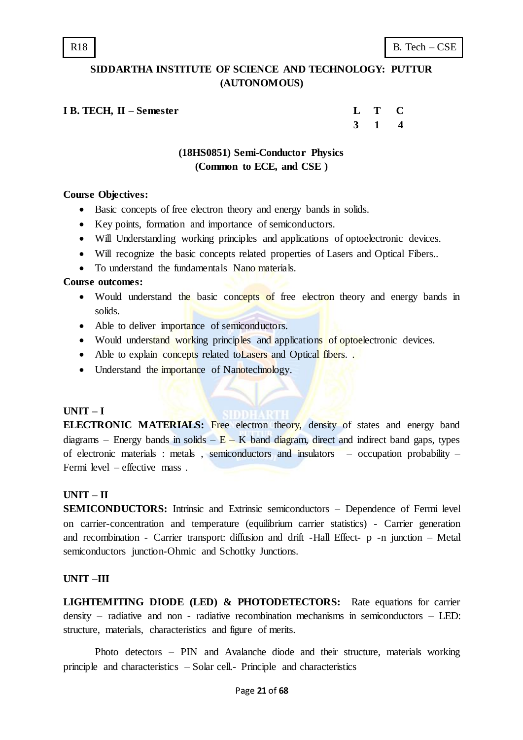#### **IB. TECH, II – Semester**

| L            | Т              | C                     |
|--------------|----------------|-----------------------|
| $\mathbf{R}$ | $\blacksquare$ | $\boldsymbol{\Delta}$ |

# **(18HS0851) Semi-Conductor Physics (Common to ECE, and CSE )**

#### **Course Objectives:**

- Basic concepts of free electron theory and energy bands in solids.
- Key points, formation and importance of semiconductors.
- Will Understanding working principles and applications of optoelectronic devices.
- Will recognize the basic concepts related properties of Lasers and Optical Fibers..
- To understand the fundamentals Nano materials.

#### **Course outcomes:**

- Would understand the basic concepts of free electron theory and energy bands in solids.
- Able to deliver importance of semiconductors.
- Would understand working principles and applications of optoelectronic devices.
- Able to explain concepts related to Lasers and Optical fibers. .
- Understand the *importance* of Nanotechnology.

#### **UNIT – I**

**ELECTRONIC MATERIALS:** Free electron theory, density of states and energy band diagrams – Energy bands in solids –  $E - K$  band diagram, direct and indirect band gaps, types of electronic materials : metals , semiconductors and insulators – occupation probability – Fermi level – effective mass .

# **UNIT – II**

**SEMICONDUCTORS:** Intrinsic and Extrinsic semiconductors – Dependence of Fermi level on carrier-concentration and temperature (equilibrium carrier statistics) - Carrier generation and recombination - Carrier transport: diffusion and drift -Hall Effect- p -n junction – Metal semiconductors junction-Ohmic and Schottky Junctions.

# **UNIT –III**

**LIGHTEMITING DIODE (LED) & PHOTODETECTORS:** Rate equations for carrier density – radiative and non - radiative recombination mechanisms in semiconductors – LED: structure, materials, characteristics and figure of merits.

Photo detectors – PIN and Avalanche diode and their structure, materials working principle and characteristics – Solar cell.- Principle and characteristics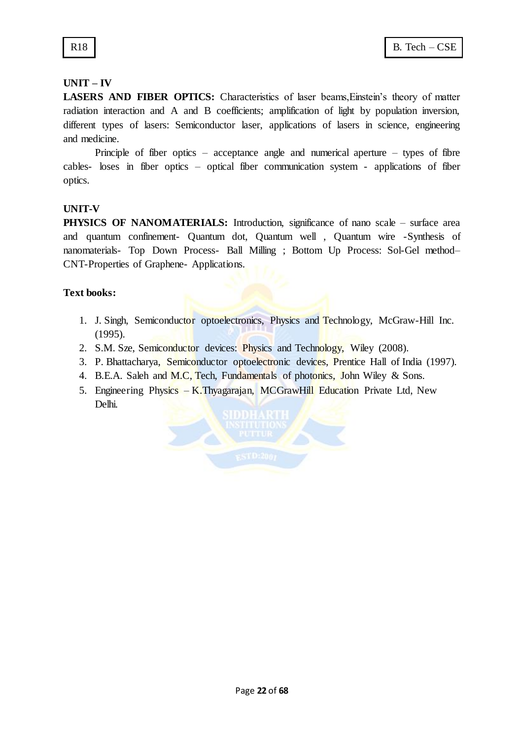# **UNIT – IV**

LASERS AND FIBER OPTICS: Characteristics of laser beams, Einstein's theory of matter radiation interaction and A and B coefficients; amplification of light by population inversion, different types of lasers: Semiconductor laser, applications of lasers in science, engineering and medicine.

Principle of fiber optics – acceptance angle and numerical aperture – types of fibre cables- loses in fiber optics – optical fiber communication system - applications of fiber optics.

# **UNIT-V**

**PHYSICS OF NANOMATERIALS:** Introduction, significance of nano scale – surface area and quantum confinement- Quantum dot, Quantum well , Quantum wire -Synthesis of nanomaterials- Top Down Process- Ball Milling ; Bottom Up Process: Sol-Gel method– CNT-Properties of Graphene- Applications.

# **Text books:**

- 1. J. Singh, Semiconductor optoelectronics, Physics and Technology, McGraw-Hill Inc. (1995).
- 2. S.M. Sze, Semiconductor devices: Physics and Technology, Wiley (2008).
- 3. P. Bhattacharya, Semiconductor optoelectronic devices, Prentice Hall of India (1997).
- 4. B.E.A. Saleh and M.C. Tech, Fundamentals of photonics, John Wiley & Sons.
- 5. Engineering Physics K.Thyagarajan, MCGrawHill Education Private Ltd, New Delhi.

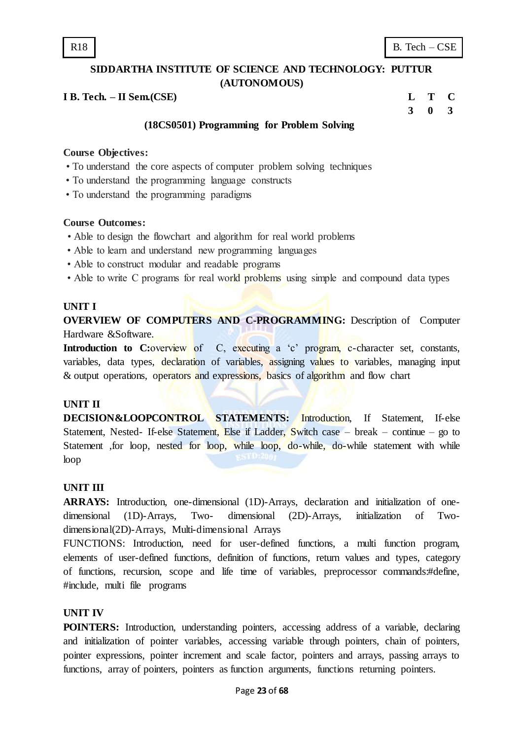**I B. Tech. – II Sem.(CSE) L T C**

**3 0 3**

## **(18CS0501) Programming for Problem Solving**

#### **Course Objectives:**

- To understand the core aspects of computer problem solving techniques
- To understand the programming language constructs
- To understand the programming paradigms

#### **Course Outcomes:**

- Able to design the flowchart and algorithm for real world problems
- Able to learn and understand new programming languages
- Able to construct modular and readable programs
- Able to write C programs for real world problems using simple and compound data types

# **UNIT I**

**OVERVIEW OF COMPUTERS AND C-PROGRAMMING:** Description of Computer Hardware &Software.

**Introduction to C:**overview of C, executing a 'c' program, c-character set, constants, variables, data types, declaration of variables, assigning values to variables, managing input & output operations, operators and expressions, basics of algorithm and flow chart

#### **UNIT II**

**DECISION&LOOPCONTROL STATEMENTS:** Introduction, If Statement, If-else Statement, Nested- If-else Statement, Else if Ladder, Switch case – break – continue – go to Statement , for loop, nested for loop, while loop, do-while, do-while statement with while loop

# **UNIT III**

**ARRAYS:** Introduction, one-dimensional (1D)-Arrays, declaration and initialization of onedimensional (1D)-Arrays, Two- dimensional (2D)-Arrays, initialization of Twodimensional(2D)-Arrays, Multi-dimensional Arrays

FUNCTIONS: Introduction, need for user-defined functions, a multi function program, elements of user-defined functions, definition of functions, return values and types, category of functions, recursion, scope and life time of variables, preprocessor commands:#define, #include, multi file programs

#### **UNIT IV**

**POINTERS:** Introduction, understanding pointers, accessing address of a variable, declaring and initialization of pointer variables, accessing variable through pointers, chain of pointers, pointer expressions, pointer increment and scale factor, pointers and arrays, passing arrays to functions, array of pointers, pointers as function arguments, functions returning pointers.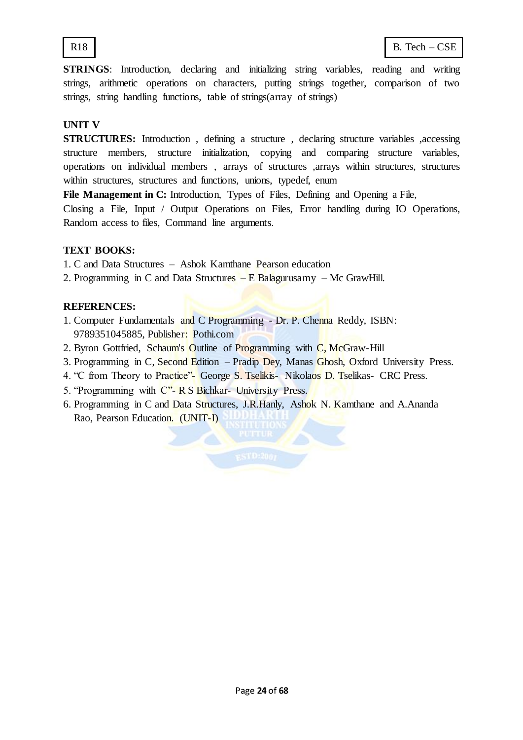

**STRINGS**: Introduction, declaring and initializing string variables, reading and writing strings, arithmetic operations on characters, putting strings together, comparison of two strings, string handling functions, table of strings(array of strings)

# **UNIT V**

**STRUCTURES:** Introduction, defining a structure, declaring structure variables, accessing structure members, structure initialization, copying and comparing structure variables, operations on individual members , arrays of structures ,arrays within structures, structures within structures, structures and functions, unions, typedef, enum

**File Management in C:** Introduction, Types of Files, Defining and Opening a File,

Closing a File, Input / Output Operations on Files, Error handling during IO Operations, Random access to files, Command line arguments.

## **TEXT BOOKS:**

1. C and Data Structures – Ashok Kamthane Pearson education

2. Programming in C and Data Structures  $-E$  Balagurusamy – Mc GrawHill.

#### **REFERENCES:**

- 1. Computer Fundamentals and C Programming Dr. P. Chenna Reddy, ISBN: 9789351045885, Publisher: Pothi.com
- 2. Byron Gottfried, Schaum's Outline of Programming with C, McGraw-Hill
- 3. Programming in C, Second Edition Pradip Dey, Manas Ghosh, Oxford University Press.
- 4. "C from Theory to Practice"- George S. Tselikis- Nikolaos D. Tselikas- CRC Press.
- 5. "Programming with C"- R S Bichkar- University Press.
- 6. Programming in C and Data Structures, J.R.Hanly, Ashok N. Kamthane and A.Ananda Rao, Pearson Education. (UNIT-I)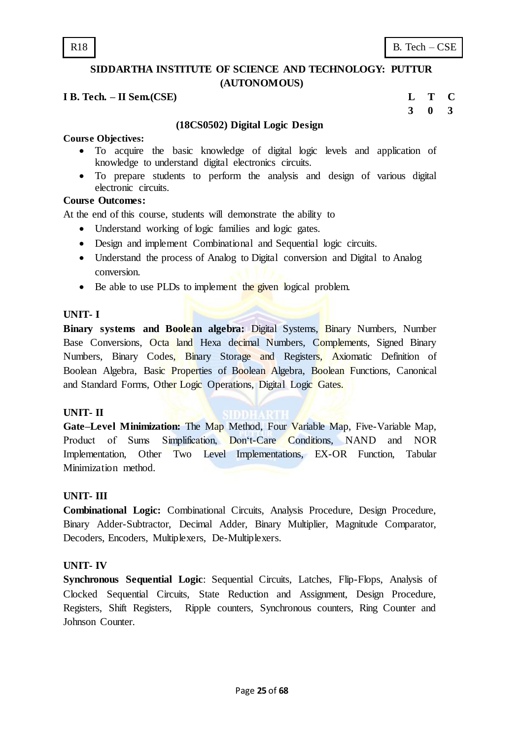# **I B. Tech. – II Sem.(CSE) L T C**

**3 0 3**

#### **(18CS0502) Digital Logic Design**

#### **Course Objectives:**

- To acquire the basic knowledge of digital logic levels and application of knowledge to understand digital electronics circuits.
- To prepare students to perform the analysis and design of various digital electronic circuits.

#### **Course Outcomes:**

At the end of this course, students will demonstrate the ability to

- Understand working of logic families and logic gates.
- Design and implement Combinational and Sequential logic circuits.
- Understand the process of Analog to Digital conversion and Digital to Analog conversion.
- Be able to use PLDs to implement the given logical problem.

#### **UNIT- I**

**Binary systems and Boolean algebra:** Digital Systems, Binary Numbers, Number Base Conversions, Octa land Hexa decimal Numbers, Complements, Signed Binary Numbers, Binary Codes, Binary Storage and Registers, Axiomatic Definition of Boolean Algebra, Basic Properties of Boolean Algebra, Boolean Functions, Canonical and Standard Forms, Other Logic Operations, Digital Logic Gates.

#### **UNIT- II**

**Gate–Level Minimization:** The Map Method, Four Variable Map, Five-Variable Map, Product of Sums Simplification, Don"t-Care Conditions, NAND and NOR Implementation, Other Two Level Implementations, EX-OR Function, Tabular Minimization method.

#### **UNIT- III**

**Combinational Logic:** Combinational Circuits, Analysis Procedure, Design Procedure, Binary Adder-Subtractor, Decimal Adder, Binary Multiplier, Magnitude Comparator, Decoders, Encoders, Multiplexers, De-Multiplexers.

#### **UNIT- IV**

**Synchronous Sequential Logic:** Sequential Circuits, Latches, Flip-Flops, Analysis of Clocked Sequential Circuits, State Reduction and Assignment, Design Procedure, Registers, Shift Registers, Ripple counters, Synchronous counters, Ring Counter and Johnson Counter.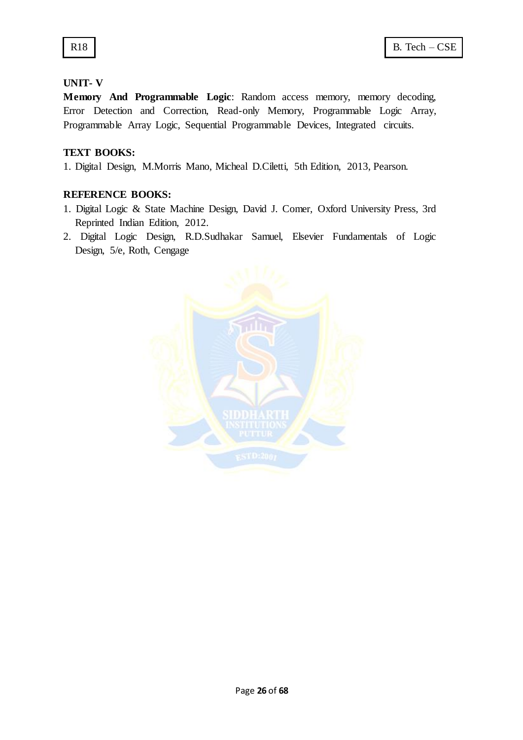# **UNIT- V**

**Memory And Programmable Logic**: Random access memory, memory decoding, Error Detection and Correction, Read-only Memory, Programmable Logic Array, Programmable Array Logic, Sequential Programmable Devices, Integrated circuits.

# **TEXT BOOKS:**

1. Digital Design, M.Morris Mano, Micheal D.Ciletti, 5th Edition, 2013, Pearson.

# **REFERENCE BOOKS:**

- 1. Digital Logic & State Machine Design, David J. Comer, Oxford University Press, 3rd Reprinted Indian Edition, 2012.
- 2. Digital Logic Design, R.D.Sudhakar Samuel, Elsevier Fundamentals of Logic Design, 5/e, Roth, Cengage

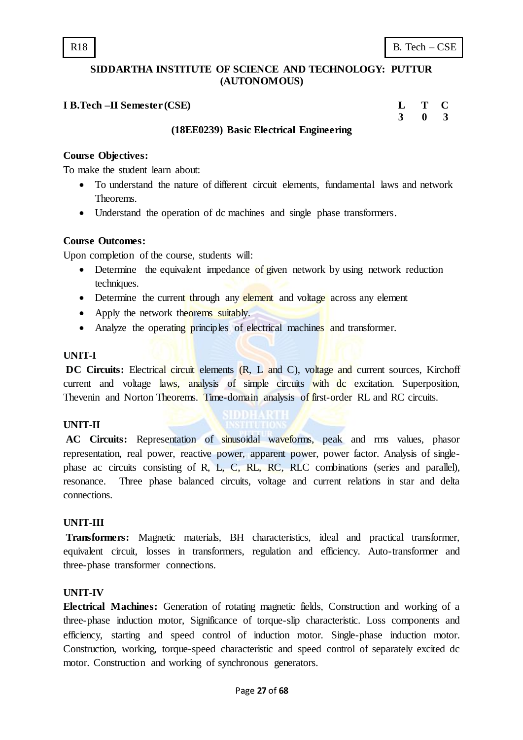# **I B.Tech –II Semester (CSE)**

|  | L T C         |  |
|--|---------------|--|
|  | $3 \t 0 \t 3$ |  |

#### **(18EE0239) Basic Electrical Engineering**

## **Course Objectives:**

To make the student learn about:

- To understand the nature of different circuit elements, fundamental laws and network Theorems.
- Understand the operation of dc machines and single phase transformers.

#### **Course Outcomes:**

Upon completion of the course, students will:

- Determine the equivalent impedance of given network by using network reduction techniques.
- Determine the current through any element and voltage across any element
- Apply the network theorems suitably.
- Analyze the operating principles of electrical machines and transformer.

#### **UNIT-I**

**DC Circuits:** Electrical circuit elements (R, L and C), voltage and current sources, Kirchoff current and voltage laws, analysis of simple circuits with dc excitation. Superposition, Thevenin and Norton Theorems. Time-domain analysis of first-order RL and RC circuits.

#### **UNIT-II**

**AC Circuits:** Representation of sinusoidal waveforms, peak and rms values, phasor representation, real power, reactive power, apparent power, power factor. Analysis of singlephase ac circuits consisting of R, L, C, RL, RC, RLC combinations (series and parallel), resonance. Three phase balanced circuits, voltage and current relations in star and delta connections.

# **UNIT-III**

**Transformers:** Magnetic materials, BH characteristics, ideal and practical transformer, equivalent circuit, losses in transformers, regulation and efficiency. Auto-transformer and three-phase transformer connections.

#### **UNIT-IV**

**Electrical Machines:** Generation of rotating magnetic fields, Construction and working of a three-phase induction motor, Significance of torque-slip characteristic. Loss components and efficiency, starting and speed control of induction motor. Single-phase induction motor. Construction, working, torque-speed characteristic and speed control of separately excited dc motor. Construction and working of synchronous generators.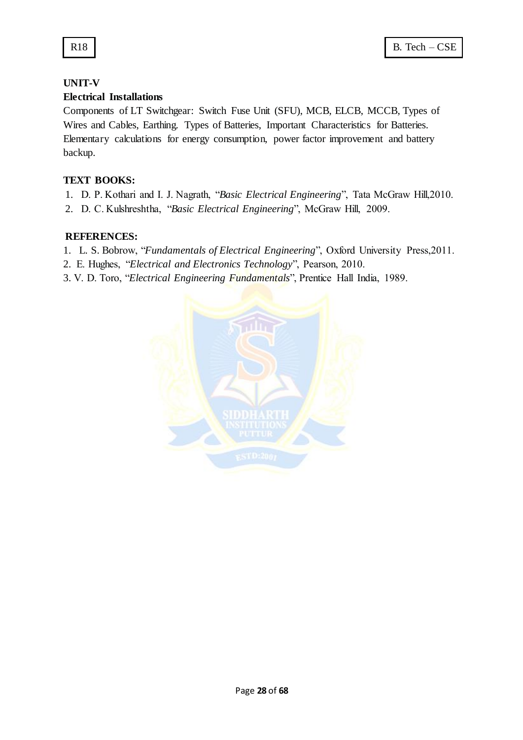# **UNIT-V**

# **Electrical Installations**

Components of LT Switchgear: Switch Fuse Unit (SFU), MCB, ELCB, MCCB, Types of Wires and Cables, Earthing. Types of Batteries, Important Characteristics for Batteries. Elementary calculations for energy consumption, power factor improvement and battery backup.

# **TEXT BOOKS:**

- 1. D. P. Kothari and I. J. Nagrath, "*Basic Electrical Engineering*", Tata McGraw Hill,2010.
- 2. D. C. Kulshreshtha, "*Basic Electrical Engineering*", McGraw Hill, 2009.

# **REFERENCES:**

- 1. L. S. Bobrow, "*Fundamentals of Electrical Engineering*", Oxford University Press,2011.
- 2. E. Hughes, "*Electrical and Electronics Technology*", Pearson, 2010.
- 3. V. D. Toro, "*Electrical Engineering Fundamentals*", Prentice Hall India, 1989.

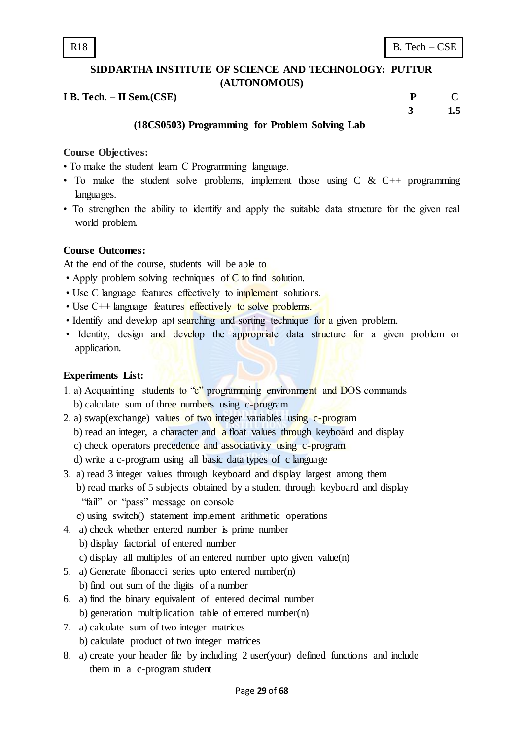**I B. Tech. – II Sem.(CSE) P C**

**3 1.5**

# **(18CS0503) Programming for Problem Solving Lab**

# **Course Objectives:**

- To make the student learn C Programming language.
- To make the student solve problems, implement those using  $C \& C++$  programming languages.
- To strengthen the ability to identify and apply the suitable data structure for the given real world problem.

# **Course Outcomes:**

At the end of the course, students will be able to

- Apply problem solving techniques of C to find solution.
- Use C language features effectively to implement solutions.
- Use C<sup>++</sup> language features effectively to solve problems.
- Identify and develop apt searching and sorting technique for a given problem.
- Identity, design and develop the appropriate data structure for a given problem or application.

# **Experiments List:**

1. a) Acquainting students to "c" programming environment and DOS commands b) calculate sum of three numbers using c-program

- 2. a) swap(exchange) values of two integer variables using c-program
	- b) read an integer, a character and **a** float values through keyboard and display
	- c) check operators precedence and associativity using c-program
	- d) write a c-program using all basic data types of c language
- 3. a) read 3 integer values through keyboard and display largest among them b) read marks of 5 subjects obtained by a student through keyboard and display "fail" or "pass" message on console
	- c) using switch() statement implement arithmetic operations
- 4. a) check whether entered number is prime number
	- b) display factorial of entered number
	- c) display all multiples of an entered number upto given value(n)
- 5. a) Generate fibonacci series upto entered number(n)
	- b) find out sum of the digits of a number
- 6. a) find the binary equivalent of entered decimal number b) generation multiplication table of entered number(n)
- 7. a) calculate sum of two integer matrices
	- b) calculate product of two integer matrices
- 8. a) create your header file by including 2 user(your) defined functions and include them in a c-program student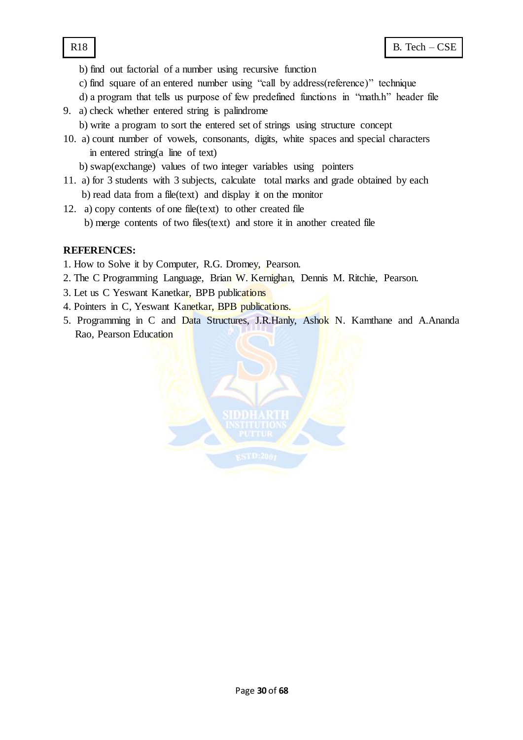b) find out factorial of a number using recursive function

- c) find square of an entered number using "call by address(reference)" technique
- d) a program that tells us purpose of few predefined functions in "math.h" header file
- 9. a) check whether entered string is palindrome
	- b) write a program to sort the entered set of strings using structure concept
- 10. a) count number of vowels, consonants, digits, white spaces and special characters in entered string(a line of text)

b) swap(exchange) values of two integer variables using pointers

- 11. a) for 3 students with 3 subjects, calculate total marks and grade obtained by each b) read data from a file(text) and display it on the monitor
- 12. a) copy contents of one file(text) to other created file b) merge contents of two files(text) and store it in another created file

## **REFERENCES:**

- 1. How to Solve it by Computer, R.G. Dromey, Pearson.
- 2. The C Programming Language, Brian W. Kernighan, Dennis M. Ritchie, Pearson.
- 3. Let us C Yeswant Kanetkar, BPB publications
- 4. Pointers in C, Yeswant Kanetkar, BPB publications.
- 5. Programming in C and Data Structures, J.R.Hanly, Ashok N. Kamthane and A.Ananda Rao, Pearson Education

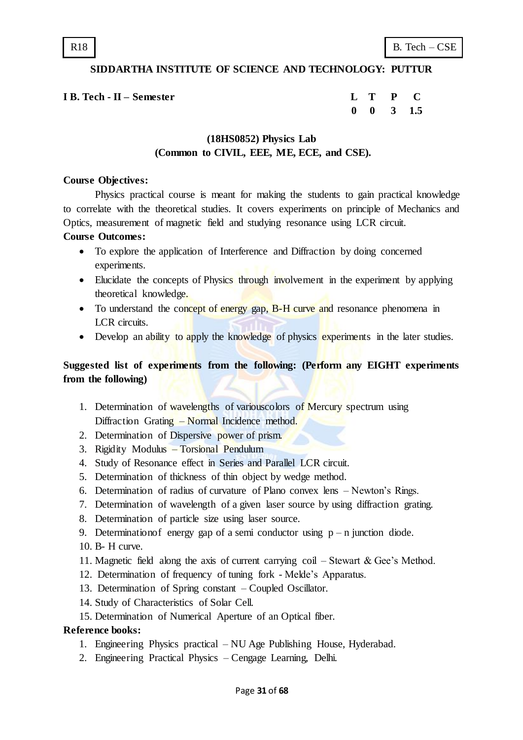R18 B. Tech – CSE

#### **SIDDARTHA INSTITUTE OF SCIENCE AND TECHNOLOGY: PUTTUR**

| I B. Tech - II – Semester |  | L T P C              |  |
|---------------------------|--|----------------------|--|
|                           |  | $0 \t 0 \t 3 \t 1.5$ |  |

# **(18HS0852) Physics Lab (Common to CIVIL, EEE, ME, ECE, and CSE).**

#### **Course Objectives:**

Physics practical course is meant for making the students to gain practical knowledge to correlate with the theoretical studies. It covers experiments on principle of Mechanics and Optics, measurement of magnetic field and studying resonance using LCR circuit.

#### **Course Outcomes:**

- To explore the application of Interference and Diffraction by doing concerned experiments.
- Elucidate the concepts of Physics through involvement in the experiment by applying theoretical knowledge.
- To understand the concept of energy gap, B-H curve and resonance phenomena in LCR circuits.
- Develop an ability to apply the knowledge of physics experiments in the later studies.

# **Suggested list of experiments from the following: (Perform any EIGHT experiments from the following)**

- 1. Determination of wavelengths of variouscolors of Mercury spectrum using Diffraction Grating – Normal Incidence method.
- 2. Determination of Dispersive power of prism.
- 3. Rigidity Modulus Torsional Pendulum
- 4. Study of Resonance effect in Series and Parallel LCR circuit.
- 5. Determination of thickness of thin object by wedge method.
- 6. Determination of radius of curvature of Plano convex lens Newton"s Rings.
- 7. Determination of wavelength of a given laser source by using diffraction grating.
- 8. Determination of particle size using laser source.
- 9. Determination of energy gap of a semi conductor using  $p n$  junction diode.
- 10. B- H curve.
- 11. Magnetic field along the axis of current carrying coil Stewart & Gee's Method.
- 12. Determination of frequency of tuning fork Melde"s Apparatus.
- 13. Determination of Spring constant Coupled Oscillator.
- 14. Study of Characteristics of Solar Cell.
- 15. Determination of Numerical Aperture of an Optical fiber.

#### **Reference books:**

- 1. Engineering Physics practical NU Age Publishing House, Hyderabad.
- 2. Engineering Practical Physics Cengage Learning, Delhi.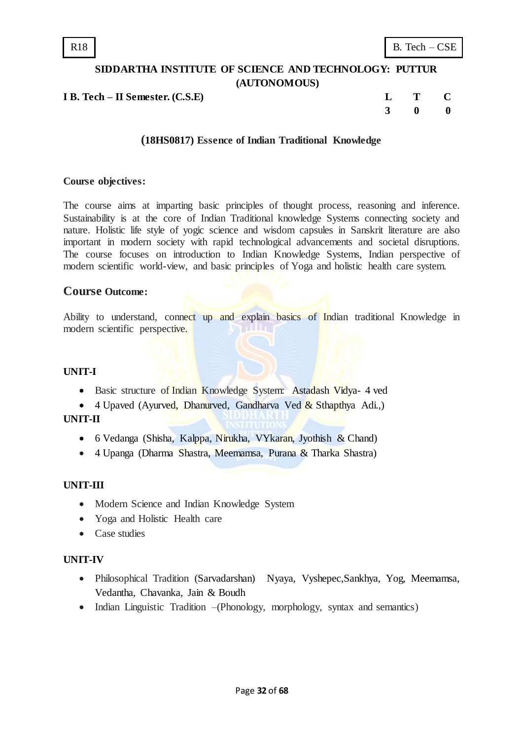**I B. Tech – II Semester. (C.S.E)** 

| L | T | C |
|---|---|---|
| 3 | 0 | 0 |

#### **(18HS0817) Essence of Indian Traditional Knowledge**

#### **Course objectives:**

The course aims at imparting basic principles of thought process, reasoning and inference. Sustainability is at the core of Indian Traditional knowledge Systems connecting society and nature. Holistic life style of yogic science and wisdom capsules in Sanskrit literature are also important in modern society with rapid technological advancements and societal disruptions. The course focuses on introduction to Indian Knowledge Systems, Indian perspective of modern scientific world-view, and basic principles of Yoga and holistic health care system.

## **Course Outcome:**

Ability to understand, connect up and explain basics of Indian traditional Knowledge in modern scientific perspective. 1 <u>1 1 1 1</u>

#### **UNIT-I**

- Basic structure of Indian Knowledge System: Astadash Vidya- 4 ved
- 4 Upaved (Ayurved, Dhanurved, Gandharva Ved  $&$  Sthapthya Adi.) **UNIT-II**
	- 6 Vedanga (Shisha, Kalppa, Nirukha, VYkaran, Jyothish & Chand)
	- 4 Upanga (Dharma Shastra, Meemamsa, Purana & Tharka Shastra)

#### **UNIT-III**

- Modern Science and Indian Knowledge System
- Yoga and Holistic Health care
- Case studies

#### **UNIT-IV**

- Philosophical Tradition (Sarvadarshan) Nyaya, Vyshepec,Sankhya, Yog, Meemamsa, Vedantha, Chavanka, Jain & Boudh
- Indian Linguistic Tradition –(Phonology, morphology, syntax and semantics)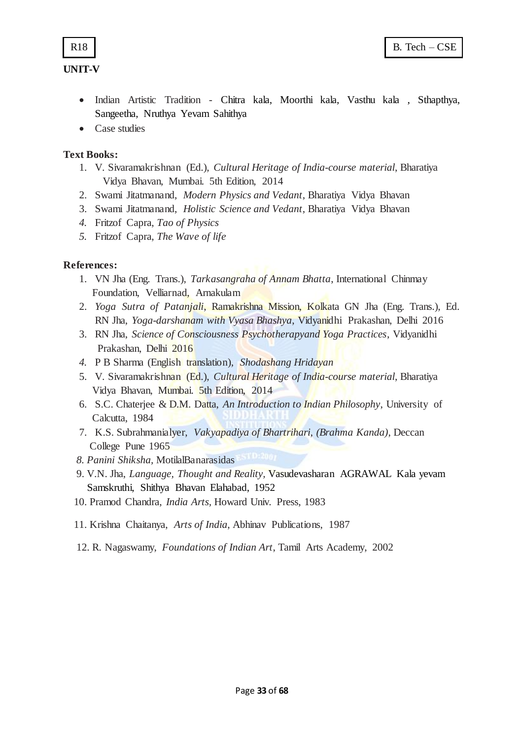# **UNIT-V**

- Indian Artistic Tradition Chitra kala, Moorthi kala, Vasthu kala , Sthapthya, Sangeetha, Nruthya Yevam Sahithya
- Case studies

# **Text Books:**

- 1. V. Sivaramakrishnan (Ed.), *Cultural Heritage of India-course material*, Bharatiya Vidya Bhavan, Mumbai. 5th Edition, 2014
- 2. Swami Jitatmanand, *Modern Physics and Vedant*, Bharatiya Vidya Bhavan
- 3. Swami Jitatmanand, *Holistic Science and Vedant*, Bharatiya Vidya Bhavan
- *4.* Fritzof Capra, *Tao of Physics*
- *5.* Fritzof Capra, *The Wave of life*

# **References:**

- 1. VN Jha (Eng. Trans.), *Tarkasangraha of Annam Bhatta*, International Chinmay Foundation, Velliarnad, Arnakulam
- 2. *Yoga Sutra of Patanjali*, Ramakrishna Mission, Kolkata GN Jha (Eng. Trans.), Ed. RN Jha, *Yoga-darshanam with Vyasa Bhashya*, Vidyanidhi Prakashan, Delhi 2016
- 3. RN Jha, *Science of Consciousness Psychotherapyand Yoga Practices*, Vidyanidhi Prakashan, Delhi 2016
- *4.* P B Sharma (English translation), *Shodashang Hridayan*
- 5. V. Sivaramakrishnan (Ed.), *Cultural Heritage of India-course material*, Bharatiya Vidya Bhavan, Mumbai. 5th Edition, 2014
- 6. S.C. Chaterjee & D.M. Datta, *An Introduction to Indian Philosophy*, University of Calcutta, 1984
- 7. K.S. Subrahmanialyer, *Vakyapadiya of Bhartrihari, (Brahma Kanda)*, Deccan College Pune 1965
- *8. Panini Shiksha,* MotilalBanarasidas
- 9. V.N. Jha, *Language, Thought and Reality,* Vasudevasharan AGRAWAL Kala yevam Samskruthi, Shithya Bhavan Elahabad, 1952
- 10. Pramod Chandra, *India Arts,* Howard Univ. Press, 1983
- 11. Krishna Chaitanya, *Arts of India*, Abhinav Publications, 1987
- 12. R. Nagaswamy, *Foundations of Indian Art*, Tamil Arts Academy, 2002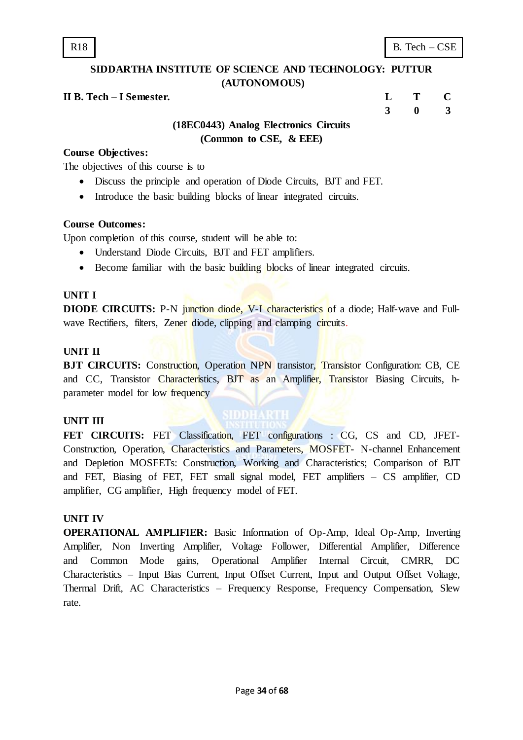# **II B. Tech – I Semester. L T C**

 **3 0 3**

# **(18EC0443) Analog Electronics Circuits (Common to CSE, & EEE)**

## **Course Objectives:**

The objectives of this course is to

- Discuss the principle and operation of Diode Circuits, BJT and FET.
- Introduce the basic building blocks of linear integrated circuits.

#### **Course Outcomes:**

Upon completion of this course, student will be able to:

- Understand Diode Circuits, BJT and FET amplifiers.
- Become familiar with the basic building blocks of linear integrated circuits.

## **UNIT I**

**DIODE CIRCUITS:** P-N junction diode, V-I characteristics of a diode; Half-wave and Fullwave Rectifiers, filters, Zener diode, clipping and clamping circuits.

## **UNIT II**

**BJT CIRCUITS:** Construction, Operation NPN transistor, Transistor Configuration: CB, CE and CC, Transistor Characteristics, BJT as an Amplifier, Transistor Biasing Circuits, hparameter model for low frequency

#### **UNIT III**

# FET CIRCUITS: FET Classification, FET configurations : CG, CS and CD, JFET-Construction, Operation, Characteristics and Parameters, MOSFET- N-channel Enhancement and Depletion MOSFETs: Construction, Working and Characteristics; Comparison of BJT and FET, Biasing of FET, FET small signal model, FET amplifiers – CS amplifier, CD amplifier, CG amplifier, High frequency model of FET.

# **UNIT IV**

**OPERATIONAL AMPLIFIER:** Basic Information of Op-Amp, Ideal Op-Amp, Inverting Amplifier, Non Inverting Amplifier, Voltage Follower, Differential Amplifier, Difference and Common Mode gains, Operational Amplifier Internal Circuit, CMRR, DC Characteristics – Input Bias Current, Input Offset Current, Input and Output Offset Voltage, Thermal Drift, AC Characteristics – Frequency Response, Frequency Compensation, Slew rate.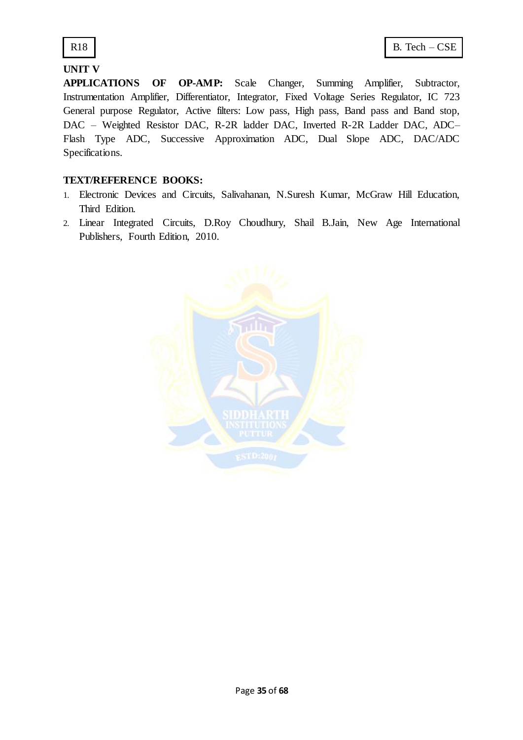# **UNIT V**

**APPLICATIONS OF OP-AMP:** Scale Changer, Summing Amplifier, Subtractor, Instrumentation Amplifier, Differentiator, Integrator, Fixed Voltage Series Regulator, IC 723 General purpose Regulator, Active filters: Low pass, High pass, Band pass and Band stop, DAC – Weighted Resistor DAC, R-2R ladder DAC, Inverted R-2R Ladder DAC, ADC– Flash Type ADC, Successive Approximation ADC, Dual Slope ADC, DAC/ADC Specifications.

# **TEXT/REFERENCE BOOKS:**

- 1. Electronic Devices and Circuits, Salivahanan, N.Suresh Kumar, McGraw Hill Education, Third Edition.
- 2. Linear Integrated Circuits, D.Roy Choudhury, Shail B.Jain, New Age International Publishers, Fourth Edition, 2010.

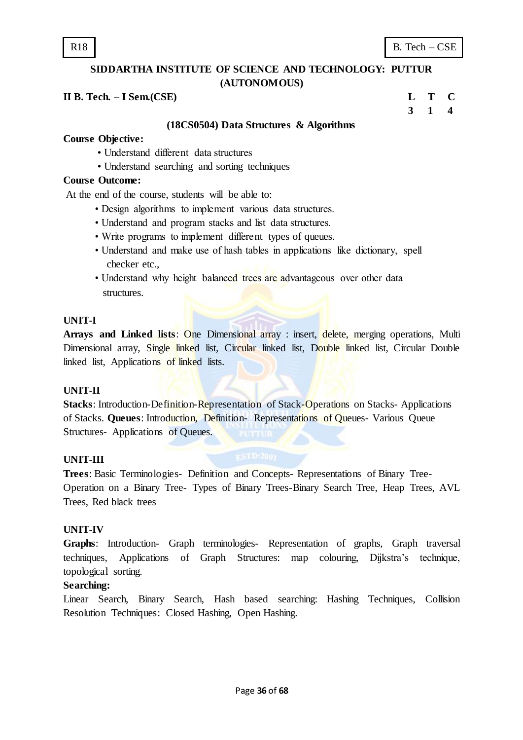# **II B. Tech. – I Sem.(CSE) L T C**

**3 1 4**

#### **(18CS0504) Data Structures & Algorithms**

#### **Course Objective:**

- Understand different data structures
- Understand searching and sorting techniques

## **Course Outcome:**

At the end of the course, students will be able to:

- Design algorithms to implement various data structures.
- Understand and program stacks and list data structures.
- Write programs to implement different types of queues.
- Understand and make use of hash tables in applications like dictionary, spell checker etc.,
- Understand why height balanced trees are advantageous over other data structures.

## **UNIT-I**

**Arrays and Linked lists**: One Dimensional array : insert, delete, merging operations, Multi Dimensional array, Single linked list, Circular linked list, Double linked list, Circular Double linked list, Applications of linked lists.

#### **UNIT-II**

**Stacks**: Introduction-Definition-Representation of Stack-Operations on Stacks-Applications of Stacks. **Queues**: Introduction, Definition- Representations of Queues- Various Queue Structures- Applications of Queues.

# **UNIT-III**

**Trees**: Basic Terminologies- Definition and Concepts- Representations of Binary Tree-Operation on a Binary Tree- Types of Binary Trees-Binary Search Tree, Heap Trees, AVL Trees, Red black trees

#### **UNIT-IV**

**Graphs**: Introduction- Graph terminologies- Representation of graphs, Graph traversal techniques, Applications of Graph Structures: map colouring, Dijkstra"s technique, topological sorting.

#### **Searching:**

Linear Search, Binary Search, Hash based searching: Hashing Techniques, Collision Resolution Techniques: Closed Hashing, Open Hashing.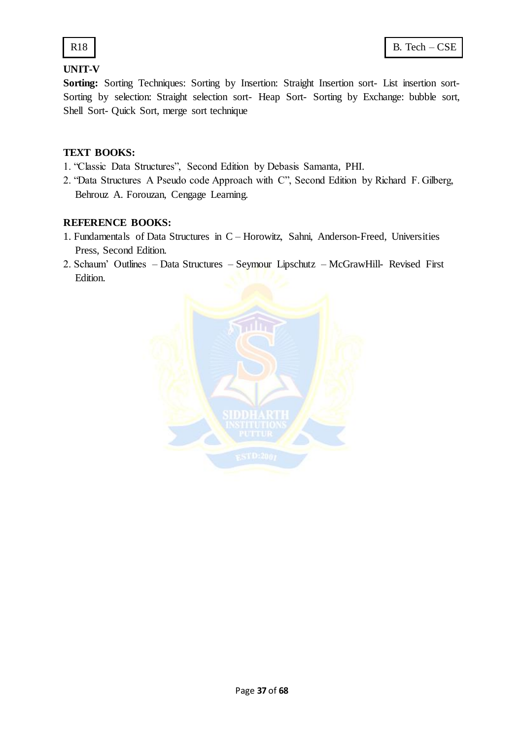

# **UNIT-V**

Sorting: Sorting Techniques: Sorting by Insertion: Straight Insertion sort- List insertion sort-Sorting by selection: Straight selection sort- Heap Sort- Sorting by Exchange: bubble sort, Shell Sort- Quick Sort, merge sort technique

# **TEXT BOOKS:**

- 1. "Classic Data Structures", Second Edition by Debasis Samanta, PHI.
- 2. "Data Structures A Pseudo code Approach with C", Second Edition by Richard F. Gilberg, Behrouz A. Forouzan, Cengage Learning.

# **REFERENCE BOOKS:**

- 1. Fundamentals of Data Structures in C Horowitz, Sahni, Anderson-Freed, Universities Press, Second Edition.
- 2. Schaum" Outlines Data Structures Seymour Lipschutz McGrawHill- Revised First Edition.

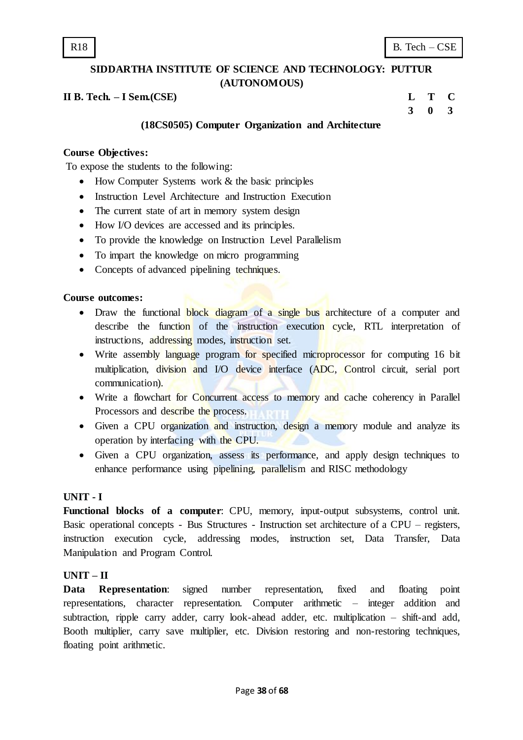**II B. Tech. – I Sem.(CSE) L T C**

**3 0 3**

# **(18CS0505) Computer Organization and Architecture**

# **Course Objectives:**

To expose the students to the following:

- How Computer Systems work & the basic principles
- Instruction Level Architecture and Instruction Execution
- The current state of art in memory system design
- How I/O devices are accessed and its principles.
- To provide the knowledge on Instruction Level Parallelism
- To impart the knowledge on micro programming
- Concepts of advanced pipelining techniques.

#### **Course outcomes:**

- Draw the functional block diagram of a single bus architecture of a computer and describe the function of the instruction execution cycle, RTL interpretation of instructions, addressing modes, instruction set.
- Write assembly language program for specified microprocessor for computing 16 bit multiplication, division and I/O device interface (ADC, Control circuit, serial port communication).
- Write a flowchart for Concurrent access to memory and cache coherency in Parallel Processors and describe the process.
- Given a CPU organization and instruction, design a memory module and analyze its operation by interfacing with the CPU.
- Given a CPU organization, assess its performance, and apply design techniques to enhance performance using pipelining, parallelism and RISC methodology

#### **UNIT - I**

**Functional blocks of a computer**: CPU, memory, input-output subsystems, control unit. Basic operational concepts - Bus Structures - Instruction set architecture of a CPU – registers, instruction execution cycle, addressing modes, instruction set, Data Transfer, Data Manipulation and Program Control.

#### **UNIT – II**

**Data Representation:** signed number representation, fixed and floating point representations, character representation. Computer arithmetic – integer addition and subtraction, ripple carry adder, carry look-ahead adder, etc. multiplication – shift-and add, Booth multiplier, carry save multiplier, etc. Division restoring and non-restoring techniques, floating point arithmetic.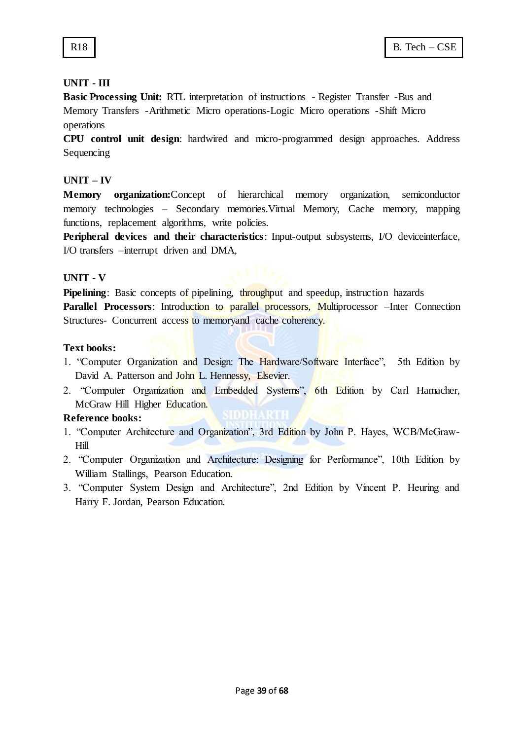# **UNIT - III**

**Basic Processing Unit:** RTL interpretation of instructions - Register Transfer -Bus and Memory Transfers -Arithmetic Micro operations-Logic Micro operations -Shift Micro operations

**CPU control unit design**: hardwired and micro-programmed design approaches. Address Sequencing

#### **UNIT – IV**

**Memory organization:**Concept of hierarchical memory organization, semiconductor memory technologies – Secondary memories.Virtual Memory, Cache memory, mapping functions, replacement algorithms, write policies.

**Peripheral devices and their characteristics**: Input-output subsystems, I/O deviceinterface, I/O transfers –interrupt driven and DMA,

#### **UNIT - V**

**Pipelining**: Basic concepts of pipelining, throughput and speedup, instruction hazards **Parallel Processors:** Introduction to parallel processors, Multiprocessor –Inter Connection Structures- Concurrent access to memoryand cache coherency.

#### **Text books:**

- 1. "Computer Organization and Design: The Hardware/Software Interface", 5th Edition by David A. Patterson and John L. Hennessy, Elsevier.
- 2. "Computer Organization and Embedded Systems", 6th Edition by Carl Hamacher, McGraw Hill Higher Education.

#### **Reference books:**

- 1. "Computer Architecture and Organization", 3rd Edition by John P. Hayes, WCB/McGraw-Hill
- 2. "Computer Organization and Architecture: Designing for Performance", 10th Edition by William Stallings, Pearson Education.
- 3. "Computer System Design and Architecture", 2nd Edition by Vincent P. Heuring and Harry F. Jordan, Pearson Education.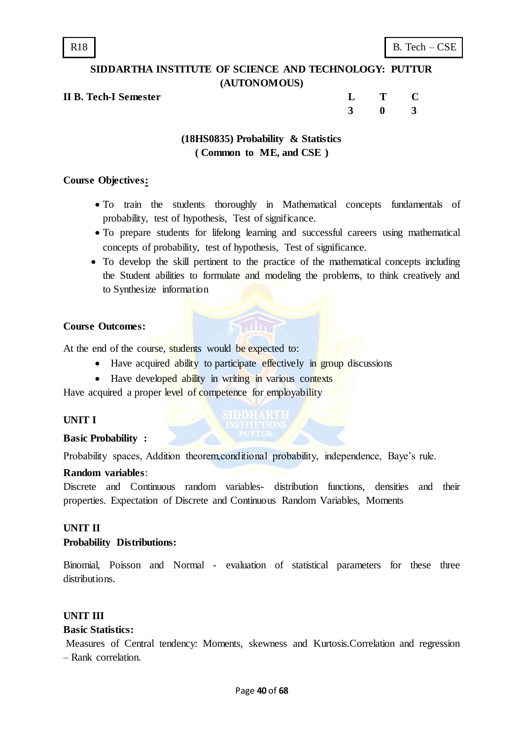**II B.** Tech-I Semester

| L T C         |  |
|---------------|--|
| $3 \t 0 \t 3$ |  |

# **(18HS0835) Probability & Statistics ( Common to ME, and CSE )**

#### **Course Objectives:**

- To train the students thoroughly in Mathematical concepts fundamentals of probability, test of hypothesis, Test of significance.
- To prepare students for lifelong learning and successful careers using mathematical concepts of probability, test of hypothesis, Test of significance.
- To develop the skill pertinent to the practice of the mathematical concepts including the Student abilities to formulate and modeling the problems, to think creatively and to Synthesize information

#### **Course Outcomes:**

At the end of the course, students would be expected to:

- Have acquired ability to participate effectively in group discussions
- Have developed ability in writing in various contexts

Have acquired a proper level of competence for employability

# **UNIT I**

#### **Basic Probability :**

Probability spaces, Addition theorem, conditional probability, independence, Baye's rule.

#### **Random variables**:

Discrete and Continuous random variables- distribution functions, densities and their properties. Expectation of Discrete and Continuous Random Variables, Moments

#### **UNIT II**

#### **Probability Distributions:**

Binomial, Poisson and Normal - evaluation of statistical parameters for these three distributions.

# **UNIT III**

#### **Basic Statistics:**

Measures of Central tendency: Moments, skewness and Kurtosis.Correlation and regression – Rank correlation.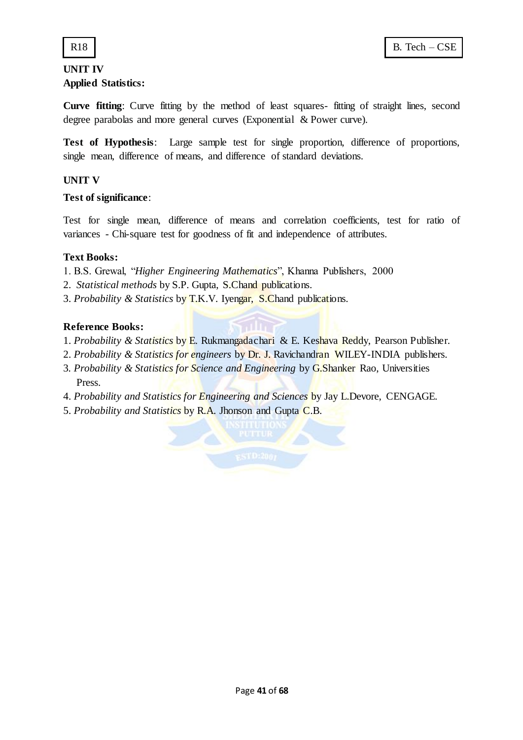

# **UNIT IV Applied Statistics:**

**Curve fitting**: Curve fitting by the method of least squares- fitting of straight lines, second degree parabolas and more general curves (Exponential & Power curve).

**Test of Hypothesis**: Large sample test for single proportion, difference of proportions, single mean, difference of means, and difference of standard deviations.

# **UNIT V**

# **Test of significance**:

Test for single mean, difference of means and correlation coefficients, test for ratio of variances - Chi-square test for goodness of fit and independence of attributes.

# **Text Books:**

- 1. B.S. Grewal, "*Higher Engineering Mathematics*", Khanna Publishers, 2000
- 2. *Statistical methods* by S.P. Gupta, S.Chand publications.
- 3. *Probability & Statistics* by T.K.V. Iyengar, S.Chand publications.

# **Reference Books:**

- 1. *Probability & Statistics* by E. Rukmangadachari & E. Keshava Reddy, Pearson Publisher.
- 2. *Probability & Statistics for engineers* by Dr. J. Ravichandran WILEY-INDIA publishers.
- 3*. Probability & Statistics for Science and Engineering* by G.Shanker Rao, Universities Press.
- 4. *Probability and Statistics for Engineering and Sciences* by Jay L.Devore, CENGAGE.
- 5. *Probability and Statistics* by R.A. Jhonson and Gupta C.B.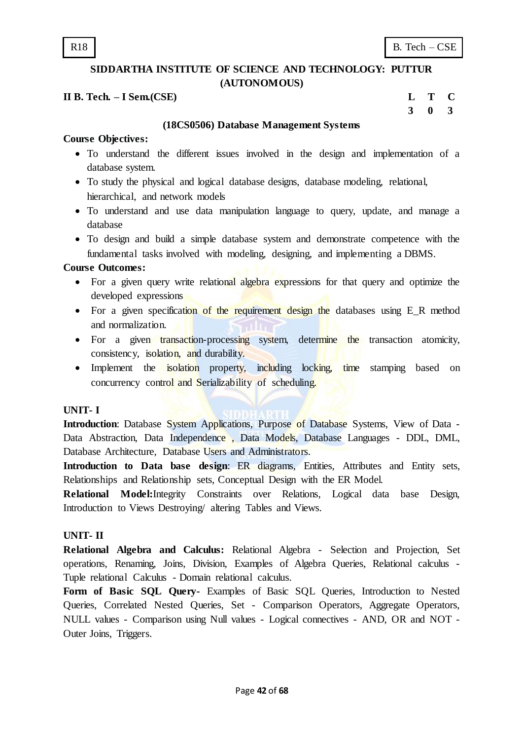# **II B. Tech. – I Sem.(CSE) L T C**

**3 0 3**

# **(18CS0506) Database Management Systems**

# **Course Objectives:**

- To understand the different issues involved in the design and implementation of a database system.
- To study the physical and logical database designs, database modeling, relational, hierarchical, and network models
- To understand and use data manipulation language to query, update, and manage a database
- To design and build a simple database system and demonstrate competence with the fundamental tasks involved with modeling, designing, and implementing a DBMS.

# **Course Outcomes:**

- For a given query write relational algebra expressions for that query and optimize the developed expressions
- For a given specification of the requirement design the databases using E*\_*R method and normalization.
- For a given transaction-processing system, determine the transaction atomicity, consistency, isolation, and durability.
- Implement the isolation property, including locking, time stamping based on concurrency control and Serializability of scheduling.

# **UNIT- I**

**Introduction**: Database System Applications, Purpose of Database Systems, View of Data -Data Abstraction, Data Independence , Data Models, Database Languages - DDL, DML, Database Architecture, Database Users and Administrators.

**Introduction to Data base design: ER diagrams, Entities, Attributes and Entity sets,** Relationships and Relationship sets, Conceptual Design with the ER Model.

**Relational Model:**Integrity Constraints over Relations, Logical data base Design, Introduction to Views Destroying/ altering Tables and Views.

# **UNIT- II**

**Relational Algebra and Calculus:** Relational Algebra - Selection and Projection, Set operations, Renaming, Joins, Division, Examples of Algebra Queries, Relational calculus - Tuple relational Calculus - Domain relational calculus.

**Form of Basic SQL Query-** Examples of Basic SQL Queries, Introduction to Nested Queries, Correlated Nested Queries, Set - Comparison Operators, Aggregate Operators, NULL values - Comparison using Null values - Logical connectives - AND, OR and NOT - Outer Joins, Triggers.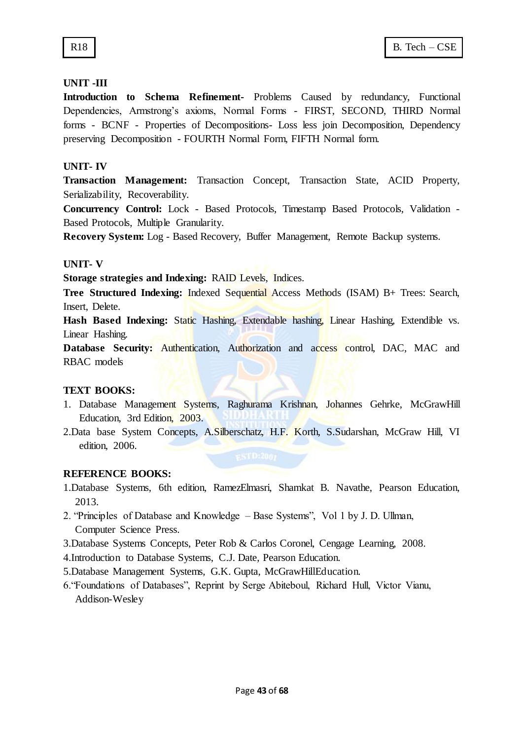# **UNIT -III**

**Introduction to Schema Refinement-** Problems Caused by redundancy, Functional Dependencies, Armstrong"s axioms, Normal Forms - FIRST, SECOND, THIRD Normal forms - BCNF - Properties of Decompositions- Loss less join Decomposition, Dependency preserving Decomposition - FOURTH Normal Form, FIFTH Normal form.

# **UNIT- IV**

**Transaction Management:** Transaction Concept, Transaction State, ACID Property, Serializability, Recoverability.

**Concurrency Control:** Lock - Based Protocols, Timestamp Based Protocols, Validation - Based Protocols, Multiple Granularity.

**Recovery System:** Log - Based Recovery, Buffer Management, Remote Backup systems.

# **UNIT- V**

**Storage strategies and Indexing:** RAID Levels, Indices.

**Tree Structured Indexing:** Indexed Sequential Access Methods (ISAM) B+ Trees: Search, Insert, Delete.

Hash Based Indexing: Static Hashing, Extendable hashing, Linear Hashing, Extendible vs. Linear Hashing.

**Database Security:** Authentication, Authorization and access control, DAC, MAC and RBAC models

# **TEXT BOOKS:**

- 1. Database Management Systems, Raghurama Krishnan, Johannes Gehrke, McGrawHill Education, 3rd Edition, 2003.
- 2.Data base System Concepts, A.Silberschatz, H.F. Korth, S.Sudarshan, McGraw Hill, VI edition, 2006.

# **REFERENCE BOOKS:**

- 1.Database Systems, 6th edition, RamezElmasri, Shamkat B. Navathe, Pearson Education, 2013.
- 2. "Principles of Database and Knowledge Base Systems", Vol 1 by J. D. Ullman, Computer Science Press.
- 3.Database Systems Concepts, Peter Rob & Carlos Coronel, Cengage Learning, 2008.
- 4.Introduction to Database Systems, C.J. Date, Pearson Education.
- 5.Database Management Systems, G.K. Gupta, McGrawHillEducation.
- 6."Foundations of Databases", Reprint by Serge Abiteboul, Richard Hull, Victor Vianu, Addison-Wesley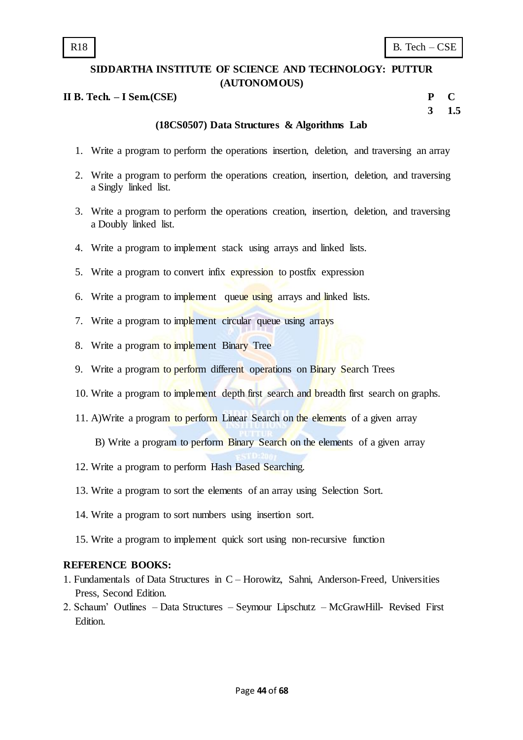# **II B. Tech. – I Sem.(CSE) P C**

# **3 1.5**

#### **(18CS0507) Data Structures & Algorithms Lab**

- 1. Write a program to perform the operations insertion, deletion, and traversing an array
- 2. Write a program to perform the operations creation, insertion, deletion, and traversing a Singly linked list.
- 3. Write a program to perform the operations creation, insertion, deletion, and traversing a Doubly linked list.
- 4. Write a program to implement stack using arrays and linked lists.
- 5. Write a program to convert infix expression to postfix expression
- 6. Write a program to implement queue using arrays and linked lists.
- 7. Write a program to implement circular queue using arrays
- 8. Write a program to implement Binary Tree
- 9. Write a program to perform different operations on Binary Search Trees
- 10. Write a program to implement depth first search and breadth first search on graphs.
- 11. A)Write a program to perform Linear Search on the elements of a given array
	- B) Write a program to perform Binary Search on the elements of a given array
- 12. Write a program to perform Hash Based Searching.
- 13. Write a program to sort the elements of an array using Selection Sort.
- 14. Write a program to sort numbers using insertion sort.
- 15. Write a program to implement quick sort using non-recursive function

#### **REFERENCE BOOKS:**

- 1. Fundamentals of Data Structures in C Horowitz, Sahni, Anderson-Freed, Universities Press, Second Edition.
- 2. Schaum" Outlines Data Structures Seymour Lipschutz McGrawHill- Revised First Edition.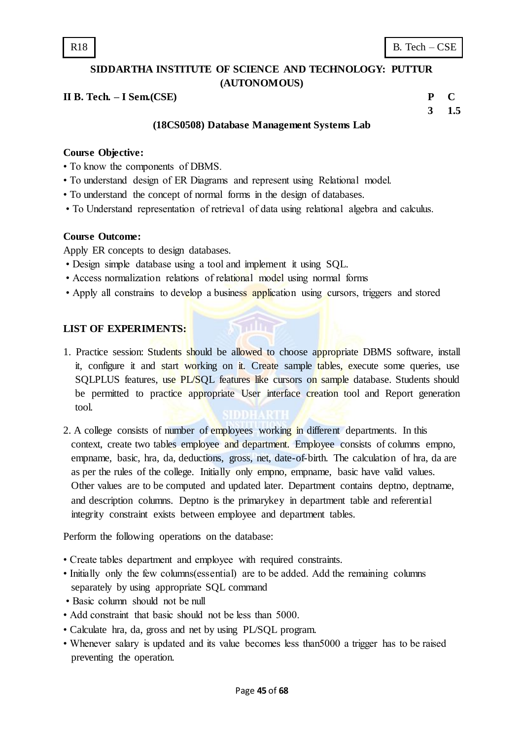**II B. Tech. – I Sem.(CSE) P C**

**3 1.5**

# **(18CS0508) Database Management Systems Lab**

## **Course Objective:**

- To know the components of DBMS.
- To understand design of ER Diagrams and represent using Relational model.
- To understand the concept of normal forms in the design of databases.
- To Understand representation of retrieval of data using relational algebra and calculus.

#### **Course Outcome:**

Apply ER concepts to design databases.

- Design simple database using a tool and implement it using SQL.
- Access normalization relations of relational model using normal forms
- Apply all constrains to develop a business application using cursors, triggers and stored

# **LIST OF EXPERIMENTS:**

- 1. Practice session: Students should be allowed to choose appropriate DBMS software, install it, configure it and start working on it. Create sample tables, execute some queries, use SQLPLUS features, use PL/SQL features like cursors on sample database. Students should be permitted to practice appropriate User interface creation tool and Report generation tool.
- 2. A college consists of number of employees working in different departments. In this context, create two tables employee and department. Employee consists of columns empno, empname, basic, hra, da, deductions, gross, net, date-of-birth. The calculation of hra, da are as per the rules of the college. Initially only empno, empname, basic have valid values. Other values are to be computed and updated later. Department contains deptno, deptname, and description columns. Deptno is the primarykey in department table and referential integrity constraint exists between employee and department tables.

Perform the following operations on the database:

- Create tables department and employee with required constraints.
- Initially only the few columns(essential) are to be added. Add the remaining columns separately by using appropriate SQL command
- Basic column should not be null
- Add constraint that basic should not be less than 5000.
- Calculate hra, da, gross and net by using PL/SQL program.
- Whenever salary is updated and its value becomes less than5000 a trigger has to be raised preventing the operation.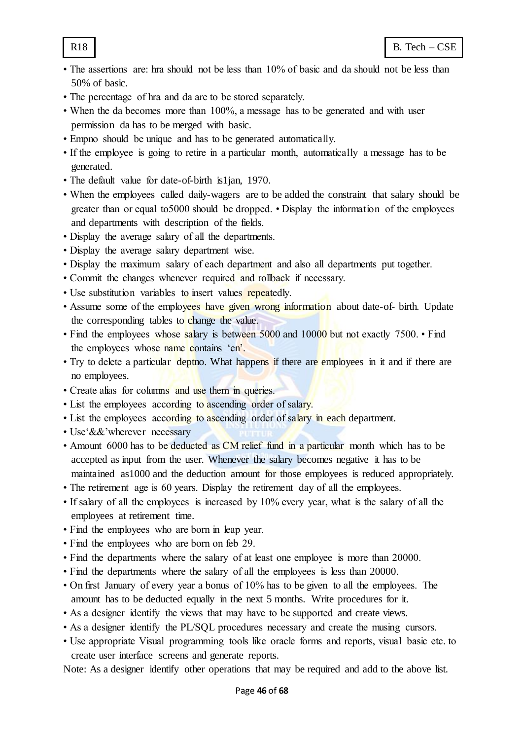- The assertions are: hra should not be less than 10% of basic and da should not be less than 50% of basic.
- The percentage of hra and da are to be stored separately.
- When the da becomes more than 100%, a message has to be generated and with user permission da has to be merged with basic.
- Empno should be unique and has to be generated automatically.
- If the employee is going to retire in a particular month, automatically a message has to be generated.
- The default value for date-of-birth is1jan, 1970.
- When the employees called daily-wagers are to be added the constraint that salary should be greater than or equal to5000 should be dropped. • Display the information of the employees and departments with description of the fields.
- Display the average salary of all the departments.
- Display the average salary department wise.
- Display the maximum salary of each department and also all departments put together.
- Commit the changes whenever required and rollback if necessary.
- Use substitution variables to insert values repeatedly.
- Assume some of the employees have given wrong information about date-of- birth. Update the corresponding tables to change the value.
- Find the employees whose salary is between 5000 and 10000 but not exactly 7500. Find the employees whose name contains 'en'.
- Try to delete a particular deptno. What happens if there are employees in it and if there are no employees.
- Create alias for columns and use them in queries.
- List the employees according to ascending order of salary.
- List the employees according to ascending order of salary in each department.
- Use & & 'wherever necessary
- Amount 6000 has to be deducted as CM relief fund in a particular month which has to be accepted as input from the user. Whenever the salary becomes negative it has to be maintained as 1000 and the deduction amount for those employees is reduced appropriately.
- The retirement age is 60 years. Display the retirement day of all the employees.
- If salary of all the employees is increased by 10% every year, what is the salary of all the employees at retirement time.
- Find the employees who are born in leap year.
- Find the employees who are born on feb 29.
- Find the departments where the salary of at least one employee is more than 20000.
- Find the departments where the salary of all the employees is less than 20000.
- On first January of every year a bonus of 10% has to be given to all the employees. The amount has to be deducted equally in the next 5 months. Write procedures for it.
- As a designer identify the views that may have to be supported and create views.
- As a designer identify the PL/SQL procedures necessary and create the musing cursors.
- Use appropriate Visual programming tools like oracle forms and reports, visual basic etc. to create user interface screens and generate reports.

Note: As a designer identify other operations that may be required and add to the above list.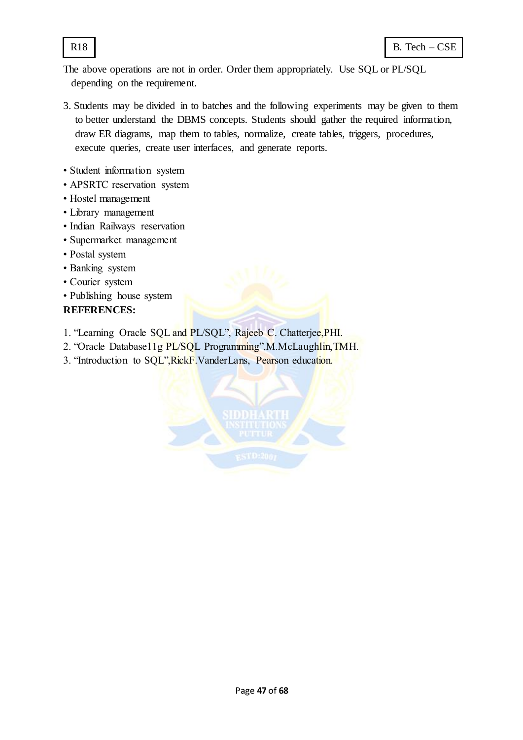

The above operations are not in order. Order them appropriately. Use SQL or PL/SQL depending on the requirement.

- 3. Students may be divided in to batches and the following experiments may be given to them to better understand the DBMS concepts. Students should gather the required information, draw ER diagrams, map them to tables, normalize, create tables, triggers, procedures, execute queries, create user interfaces, and generate reports.
- Student information system
- APSRTC reservation system
- Hostel management
- Library management
- Indian Railways reservation
- Supermarket management
- Postal system
- Banking system
- Courier system
- Publishing house system

# **REFERENCES:**

- 1. "Learning Oracle SQL and PL/SQL", Rajeeb C. Chatterjee,PHI.
- 2. "Oracle Database11g PL/SQL Programming", M.McLaughlin, TMH.
- 3. "Introduction to SQL",RickF.VanderLans, Pearson education.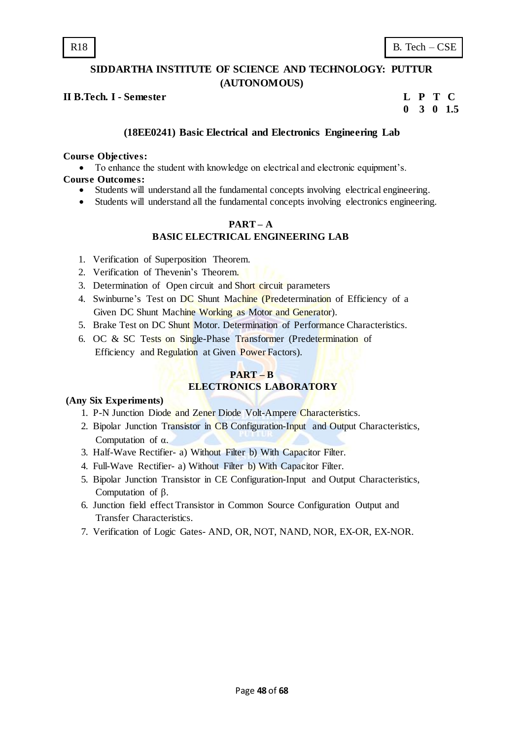**II B.Tech. I - Semester L P T C**

# **0 3 0 1.5**

# **(18EE0241) Basic Electrical and Electronics Engineering Lab**

# **Course Objectives:**

To enhance the student with knowledge on electrical and electronic equipment's.

# **Course Outcomes:**

- Students will understand all the fundamental concepts involving electrical engineering.
- Students will understand all the fundamental concepts involving electronics engineering.

# **PART – A BASIC ELECTRICAL ENGINEERING LAB**

- 1. Verification of Superposition Theorem.
- 2. Verification of Thevenin"s Theorem.
- 3. Determination of Open circuit and Short circuit parameters
- 4. Swinburne's Test on DC Shunt Machine (Predetermination of Efficiency of a Given DC Shunt Machine Working as Motor and Generator).
- 5. Brake Test on DC Shunt Motor. Determination of Performance Characteristics.
- 6. OC & SC Tests on Single-Phase Transformer (Predetermination of Efficiency and Regulation at Given Power Factors).

# **PART – B ELECTRONICS LABORATORY**

# **(Any Six Experiments)**

- 1. P-N Junction Diode and Zener Diode Volt-Ampere Characteristics.
- 2. Bipolar Junction Transistor in CB Configuration-Input and Output Characteristics, Computation of α.
- 3. Half-Wave Rectifier- a) Without Filter b) With Capacitor Filter.
- 4. Full-Wave Rectifier- a) Without Filter b) With Capacitor Filter.
- 5. Bipolar Junction Transistor in CE Configuration-Input and Output Characteristics, Computation of β.
- 6. Junction field effect Transistor in Common Source Configuration Output and Transfer Characteristics.
- 7. Verification of Logic Gates- AND, OR, NOT, NAND, NOR, EX-OR, EX-NOR.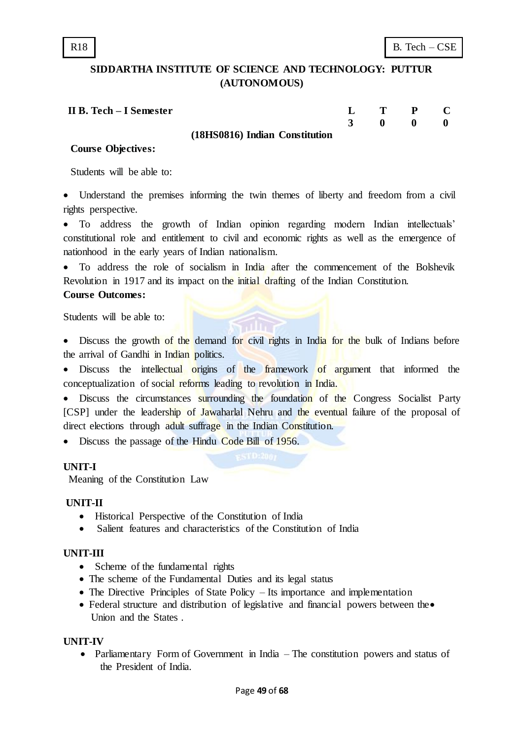| II B. Tech – I Semester |                                | $L$ T P C |  |
|-------------------------|--------------------------------|-----------|--|
|                         |                                | 3 0 0 0   |  |
|                         | (18HS0816) Indian Constitution |           |  |

#### **Course Objectives:**

Students will be able to:

 Understand the premises informing the twin themes of liberty and freedom from a civil rights perspective.

• To address the growth of Indian opinion regarding modern Indian intellectuals' constitutional role and entitlement to civil and economic rights as well as the emergence of nationhood in the early years of Indian nationalism.

 To address the role of socialism in India after the commencement of the Bolshevik Revolution in 1917 and its impact on the initial drafting of the Indian Constitution. **Course Outcomes:**

Students will be able to:

• Discuss the growth of the demand for civil rights in India for the bulk of Indians before the arrival of Gandhi in Indian politics.

• Discuss the intellectual origins of the framework of argument that informed the conceptualization of social reforms leading to revolution in India.

• Discuss the circumstances surrounding the foundation of the Congress Socialist Party [CSP] under the leadership of Jawaharlal Nehru and the eventual failure of the proposal of direct elections through adult suffrage in the Indian Constitution.

• Discuss the passage of the Hindu Code Bill of 1956.

# **UNIT-I**

Meaning of the Constitution Law

# **UNIT-II**

- Historical Perspective of the Constitution of India
- Salient features and characteristics of the Constitution of India

# **UNIT-III**

- Scheme of the fundamental rights
- The scheme of the Fundamental Duties and its legal status
- The Directive Principles of State Policy Its importance and implementation
- Federal structure and distribution of legislative and financial powers between the Union and the States .

#### **UNIT-IV**

• Parliamentary Form of Government in India – The constitution powers and status of the President of India.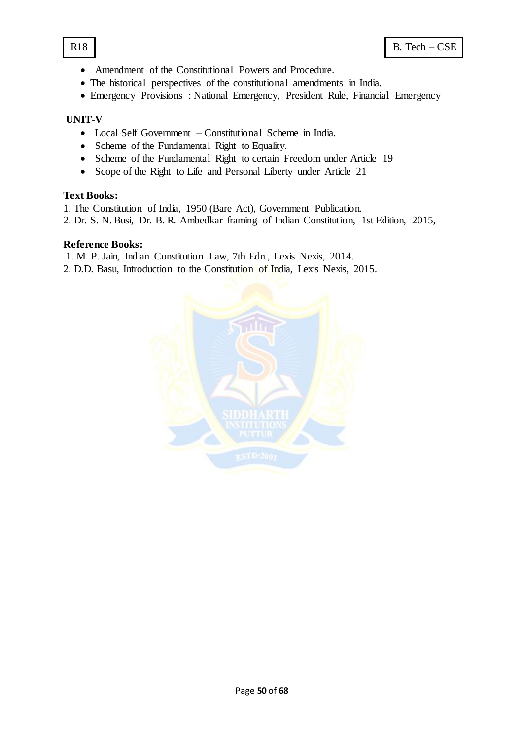- Amendment of the Constitutional Powers and Procedure.
- The historical perspectives of the constitutional amendments in India.
- Emergency Provisions : National Emergency, President Rule, Financial Emergency

# **UNIT-V**

- Local Self Government Constitutional Scheme in India.
- Scheme of the Fundamental Right to Equality.
- Scheme of the Fundamental Right to certain Freedom under Article 19
- Scope of the Right to Life and Personal Liberty under Article 21

# **Text Books:**

1. The Constitution of India, 1950 (Bare Act), Government Publication.

2. Dr. S. N. Busi, Dr. B. R. Ambedkar framing of Indian Constitution, 1st Edition, 2015,

## **Reference Books:**

1. M. P. Jain, Indian Constitution Law, 7th Edn., Lexis Nexis, 2014.

2. D.D. Basu, Introduction to the Constitution of India, Lexis Nexis, 2015.

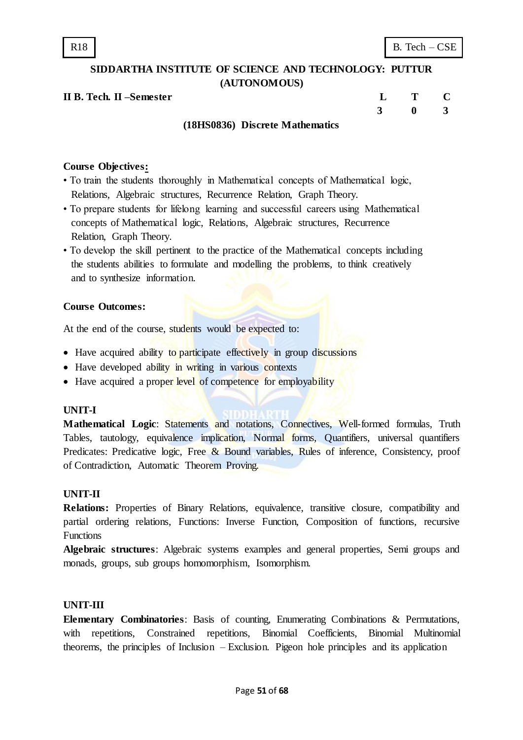## **II B. Tech. II –Semester**

| L            | Т           | $\mathbf C$  |
|--------------|-------------|--------------|
| $\mathbf{3}$ | $\mathbf 0$ | $\mathbf{3}$ |

#### **(18HS0836) Discrete Mathematics**

#### **Course Objectives:**

- To train the students thoroughly in Mathematical concepts of Mathematical logic, Relations, Algebraic structures, Recurrence Relation, Graph Theory.
- To prepare students for lifelong learning and successful careers using Mathematical concepts of Mathematical logic, Relations, Algebraic structures, Recurrence Relation, Graph Theory.
- To develop the skill pertinent to the practice of the Mathematical concepts including the students abilities to formulate and modelling the problems, to think creatively and to synthesize information.

#### **Course Outcomes:**

At the end of the course, students would be expected to:

- Have acquired ability to participate effectively in group discussions
- Have developed ability in writing in various contexts
- Have acquired a proper level of competence for employability

#### **UNIT-I**

Mathematical Logic: Statements and notations, Connectives, Well-formed formulas, Truth Tables, tautology, equivalence implication, Normal forms, Quantifiers, universal quantifiers Predicates: Predicative logic, Free & Bound variables, Rules of inference, Consistency, proof of Contradiction, Automatic Theorem Proving.

# **UNIT-II**

**Relations:** Properties of Binary Relations, equivalence, transitive closure, compatibility and partial ordering relations, Functions: Inverse Function, Composition of functions, recursive Functions

**Algebraic structures**: Algebraic systems examples and general properties, Semi groups and monads, groups, sub groups homomorphism, Isomorphism.

#### **UNIT-III**

**Elementary Combinatories**: Basis of counting, Enumerating Combinations & Permutations, with repetitions, Constrained repetitions, Binomial Coefficients, Binomial Multinomial theorems, the principles of Inclusion – Exclusion. Pigeon hole principles and its application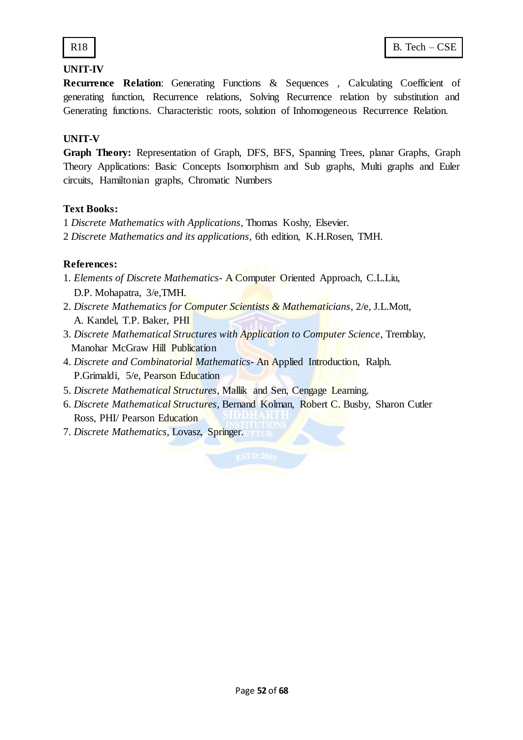

# **UNIT-IV**

**Recurrence Relation**: Generating Functions & Sequences , Calculating Coefficient of generating function, Recurrence relations, Solving Recurrence relation by substitution and Generating functions. Characteristic roots, solution of Inhomogeneous Recurrence Relation.

# **UNIT-V**

**Graph Theory:** Representation of Graph, DFS, BFS, Spanning Trees, planar Graphs, Graph Theory Applications: Basic Concepts Isomorphism and Sub graphs, Multi graphs and Euler circuits, Hamiltonian graphs, Chromatic Numbers

# **Text Books:**

1 *Discrete Mathematics with Applications*, Thomas Koshy, Elsevier.

2 *Discrete Mathematics and its applications*, 6th edition, K.H.Rosen, TMH.

# **References:**

- 1*. Elements of Discrete Mathematics* A Computer Oriented Approach, C.L.Liu, D.P. Mohapatra, 3/e,TMH.
- 2. *Discrete Mathematics for Computer Scientists & Mathematicians*, 2/e, J.L.Mott, A. Kandel, T.P. Baker, PHI
- 3. *Discrete Mathematical Structures with Application to Computer Science*, Tremblay, Manohar McGraw Hill Publication
- 4. *Discrete and Combinatorial Mathematics-* An Applied Introduction, Ralph. P.Grimaldi, 5/e, Pearson Education
- 5. *Discrete Mathematical Structures*, Mallik and Sen, Cengage Learning.
- 6. *Discrete Mathematical Structures*, Bernand Kolman, Robert C. Busby, Sharon Cutler Ross, PHI/ Pearson Education
- 7. *Discrete Mathematics*, Lovasz, Springer.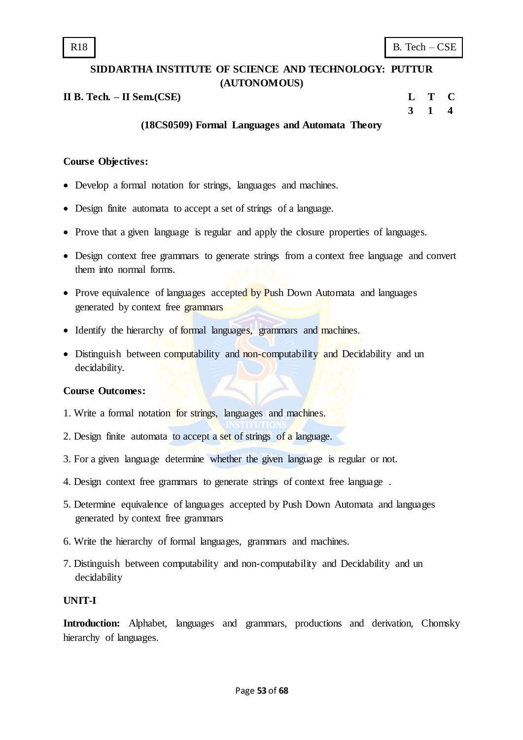**II B. Tech. – II Sem.(CSE) L T C**

**3 1 4**

## **(18CS0509) Formal Languages and Automata Theory**

#### **Course Objectives:**

- Develop a formal notation for strings, languages and machines.
- Design finite automata to accept a set of strings of a language.
- Prove that a given language is regular and apply the closure properties of languages.
- Design context free grammars to generate strings from a context free language and convert them into normal forms.
- Prove equivalence of languages accepted by Push Down Automata and languages generated by context free grammars
- Identify the hierarchy of formal languages, grammars and machines.
- Distinguish between computability and non-computability and Decidability and un decidability.

#### **Course Outcomes:**

- 1. Write a formal notation for strings, languages and machines.
- 2. Design finite automata to accept a set of strings of a language.
- 3. For a given language determine whether the given language is regular or not.
- 4. Design context free grammars to generate strings of context free language .
- 5. Determine equivalence of languages accepted by Push Down Automata and languages generated by context free grammars
- 6. Write the hierarchy of formal languages, grammars and machines.
- 7. Distinguish between computability and non-computability and Decidability and un decidability

# **UNIT-I**

**Introduction:** Alphabet, languages and grammars, productions and derivation, Chomsky hierarchy of languages.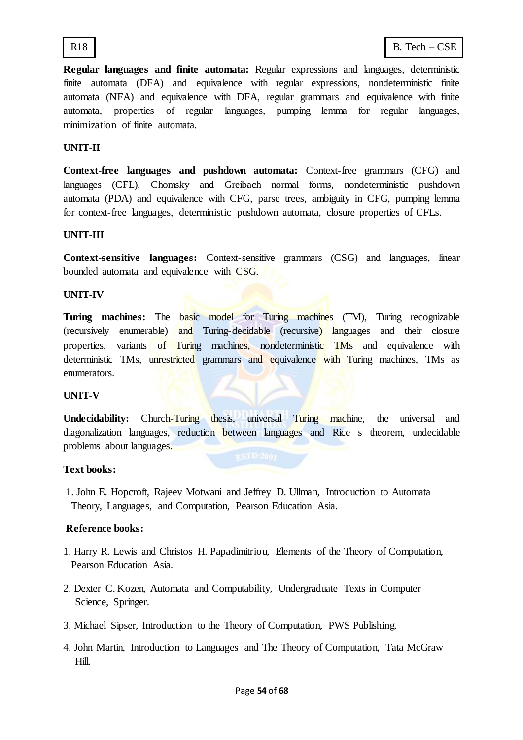

**Regular languages and finite automata:** Regular expressions and languages, deterministic finite automata (DFA) and equivalence with regular expressions, nondeterministic finite automata (NFA) and equivalence with DFA, regular grammars and equivalence with finite automata, properties of regular languages, pumping lemma for regular languages, minimization of finite automata.

# **UNIT-II**

**Context-free languages and pushdown automata:** Context-free grammars (CFG) and languages (CFL), Chomsky and Greibach normal forms, nondeterministic pushdown automata (PDA) and equivalence with CFG, parse trees, ambiguity in CFG, pumping lemma for context-free languages, deterministic pushdown automata, closure properties of CFLs.

## **UNIT-III**

**Context-sensitive languages:** Context-sensitive grammars (CSG) and languages, linear bounded automata and equivalence with CSG.

#### **UNIT-IV**

**Turing machines:** The basic model for Turing machines (TM), Turing recognizable (recursively enumerable) and Turing-decidable (recursive) languages and their closure properties, variants of Turing machines, nondeterministic TMs and equivalence with deterministic TMs, unrestricted grammars and equivalence with Turing machines, TMs as enumerators.

#### **UNIT-V**

**Undecidability:** Church-Turing thesis, universal Turing machine, the universal and diagonalization languages, reduction between languages and Rice s theorem, undecidable problems about languages.

#### **Text books:**

1. John E. Hopcroft, Rajeev Motwani and Jeffrey D. Ullman, Introduction to Automata Theory, Languages, and Computation, Pearson Education Asia.

#### **Reference books:**

- 1. Harry R. Lewis and Christos H. Papadimitriou, Elements of the Theory of Computation, Pearson Education Asia.
- 2. Dexter C. Kozen, Automata and Computability, Undergraduate Texts in Computer Science, Springer.
- 3. Michael Sipser, Introduction to the Theory of Computation, PWS Publishing.
- 4. John Martin, Introduction to Languages and The Theory of Computation, Tata McGraw Hill.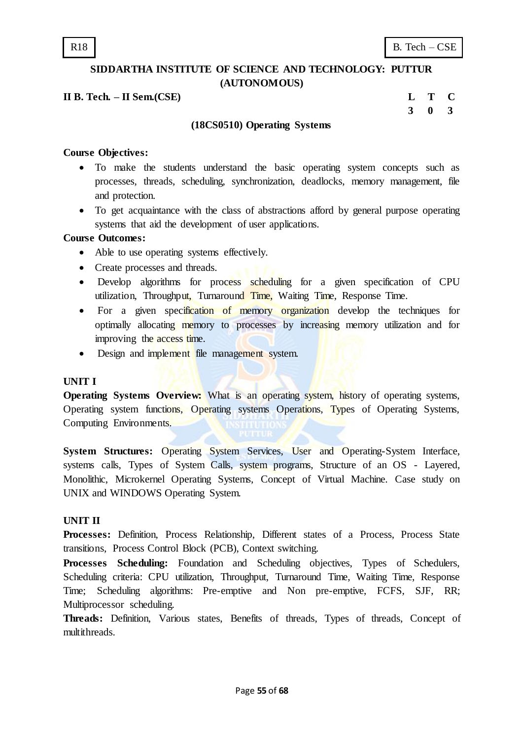**II B. Tech. – II Sem.(CSE) L T C**

**3 0 3**

#### **(18CS0510) Operating Systems**

#### **Course Objectives:**

- To make the students understand the basic operating system concepts such as processes, threads, scheduling, synchronization, deadlocks, memory management, file and protection.
- To get acquaintance with the class of abstractions afford by general purpose operating systems that aid the development of user applications.

#### **Course Outcomes:**

- Able to use operating systems effectively.
- Create processes and threads.
- Develop algorithms for process scheduling for a given specification of CPU utilization, Throughput, Turnaround Time, Waiting Time, Response Time.
- For a given specification of memory organization develop the techniques for optimally allocating memory to processes by increasing memory utilization and for improving the access time.
- Design and implement file management system.

#### **UNIT I**

**Operating Systems Overview:** What is an operating system, history of operating systems, Operating system functions, Operating systems Operations, Types of Operating Systems, Computing Environments.

**System Structures:** Operating System Services, User and Operating-System Interface, systems calls, Types of System Calls, system programs, Structure of an OS - Layered, Monolithic, Microkernel Operating Systems, Concept of Virtual Machine. Case study on UNIX and WINDOWS Operating System.

# **UNIT II**

**Processes:** Definition, Process Relationship, Different states of a Process, Process State transitions, Process Control Block (PCB), Context switching.

**Processes Scheduling:** Foundation and Scheduling objectives, Types of Schedulers, Scheduling criteria: CPU utilization, Throughput, Turnaround Time, Waiting Time, Response Time; Scheduling algorithms: Pre-emptive and Non pre-emptive, FCFS, SJF, RR; Multiprocessor scheduling.

**Threads:** Definition, Various states, Benefits of threads, Types of threads, Concept of multithreads.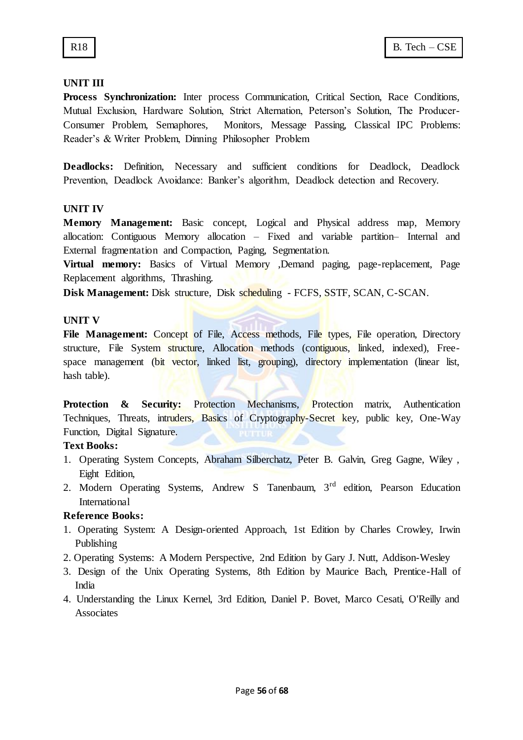# **UNIT III**

**Process Synchronization:** Inter process Communication, Critical Section, Race Conditions, Mutual Exclusion, Hardware Solution, Strict Alternation, Peterson"s Solution, The Producer-Consumer Problem, Semaphores, Monitors, Message Passing, Classical IPC Problems: Reader"s & Writer Problem, Dinning Philosopher Problem

**Deadlocks:** Definition, Necessary and sufficient conditions for Deadlock, Deadlock Prevention, Deadlock Avoidance: Banker's algorithm, Deadlock detection and Recovery.

# **UNIT IV**

**Memory Management:** Basic concept, Logical and Physical address map, Memory allocation: Contiguous Memory allocation – Fixed and variable partition– Internal and External fragmentation and Compaction, Paging, Segmentation.

**Virtual memory:** Basics of Virtual Memory ,Demand paging, page-replacement, Page Replacement algorithms, Thrashing.

**Disk Management:** Disk structure, Disk scheduling - FCFS, SSTF, SCAN, C-SCAN.

## **UNIT V**

File Management: Concept of File, Access methods, File types, File operation, Directory structure, File System structure, Allocation methods (contiguous, linked, indexed), Freespace management (bit vector, linked list, grouping), directory implementation (linear list, hash table).

**Protection & Security:** Protection Mechanisms, Protection matrix, Authentication Techniques, Threats, intruders, Basics of Cryptography-Secret key, public key, One-Way Function, Digital Signature.

# **Text Books:**

- 1. Operating System Concepts, Abraham Silberchatz, Peter B. Galvin, Greg Gagne, Wiley , Eight Edition,
- 2. Modern Operating Systems, Andrew S Tanenbaum, 3rd edition, Pearson Education International

# **Reference Books:**

- 1. Operating System: A Design-oriented Approach, 1st Edition by Charles Crowley, Irwin Publishing
- 2. Operating Systems: A Modern Perspective, 2nd Edition by Gary J. Nutt, Addison-Wesley
- 3. Design of the Unix Operating Systems, 8th Edition by Maurice Bach, Prentice-Hall of India
- 4. Understanding the Linux Kernel, 3rd Edition, Daniel P. Bovet, Marco Cesati, O'Reilly and **Associates**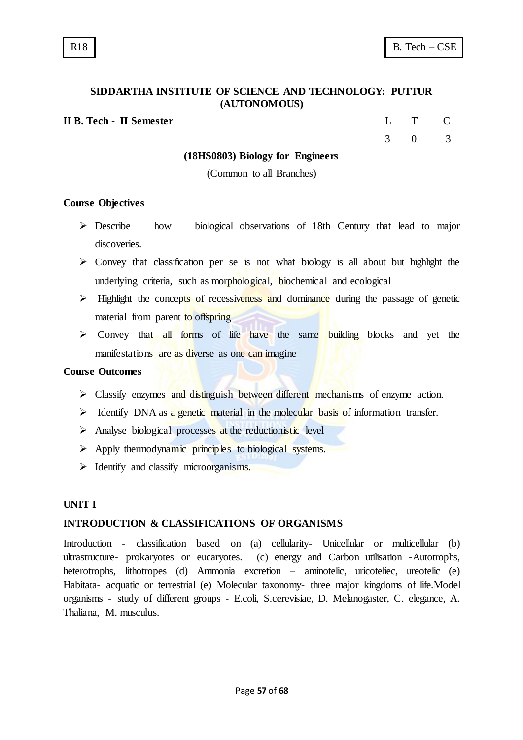**II B.** Tech - II Semester L T C

3 0 3

#### **(18HS0803) Biology for Engineers**

(Common to all Branches)

#### **Course Objectives**

- Describe how biological observations of 18th Century that lead to major discoveries.
- $\triangleright$  Convey that classification per se is not what biology is all about but highlight the underlying criteria, such as morphological, biochemical and ecological
- $\triangleright$  Highlight the concepts of recessiveness and dominance during the passage of genetic material from parent to offspring
- $\triangleright$  Convey that all forms of life have the same building blocks and yet the manifestations are as diverse as one can imagine

#### **Course Outcomes**

- > Classify enzymes and distinguish between different mechanisms of enzyme action.
- $\triangleright$  Identify DNA as a genetic material in the molecular basis of information transfer.
- $\triangleright$  Analyse biological processes at the reduction is tickely
- $\triangleright$  Apply thermodynamic principles to biological systems.
- $\triangleright$  Identify and classify microorganisms.

#### **UNIT I**

#### **INTRODUCTION & CLASSIFICATIONS OF ORGANISMS**

Introduction - classification based on (a) cellularity- Unicellular or multicellular (b) ultrastructure- prokaryotes or eucaryotes. (c) energy and Carbon utilisation -Autotrophs, heterotrophs, lithotropes (d) Ammonia excretion – aminotelic, uricoteliec, ureotelic (e) Habitata- acquatic or terrestrial (e) Molecular taxonomy- three major kingdoms of life.Model organisms - study of different groups - E.coli, S.cerevisiae, D. Melanogaster, C. elegance, A. Thaliana, M. musculus.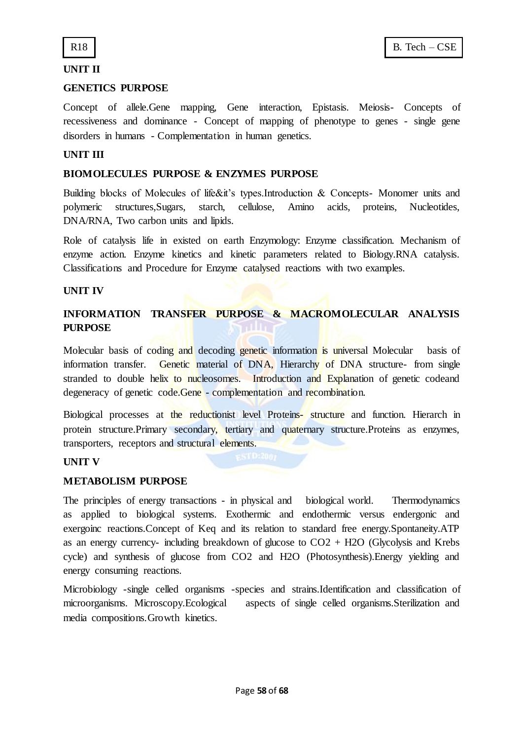

# **UNIT II**

Concept of allele.Gene mapping, Gene interaction, Epistasis. Meiosis- Concepts of recessiveness and dominance - Concept of mapping of phenotype to genes - single gene disorders in humans - Complementation in human genetics.

## **UNIT III**

## **BIOMOLECULES PURPOSE & ENZYMES PURPOSE**

Building blocks of Molecules of life&it's types.Introduction & Concepts- Monomer units and polymeric structures,Sugars, starch, cellulose, Amino acids, proteins, Nucleotides, DNA/RNA, Two carbon units and lipids.

Role of catalysis life in existed on earth Enzymology: Enzyme classification. Mechanism of enzyme action. Enzyme kinetics and kinetic parameters related to Biology.RNA catalysis. Classifications and Procedure for Enzyme catalysed reactions with two examples.

## **UNIT IV**

# **INFORMATION TRANSFER PURPOSE & MACROMOLECULAR ANALYSIS PURPOSE**

Molecular basis of coding and decoding genetic information is universal Molecular basis of information transfer. Genetic material of DNA, Hierarchy of DNA structure- from single stranded to double helix to nucleosomes. Introduction and Explanation of genetic codeand degeneracy of genetic code.Gene - complementation and recombination.

Biological processes at the reductionist level Proteins- structure and function. Hierarch in protein structure.Primary secondary, tertiary and quaternary structure.Proteins as enzymes, transporters, receptors and structural elements.

#### **UNIT V**

#### **METABOLISM PURPOSE**

The principles of energy transactions - in physical and biological world. Thermodynamics as applied to biological systems. Exothermic and endothermic versus endergonic and exergoinc reactions.Concept of Keq and its relation to standard free energy.Spontaneity.ATP as an energy currency- including breakdown of glucose to  $CO2 + H2O$  (Glycolysis and Krebs cycle) and synthesis of glucose from CO2 and H2O (Photosynthesis).Energy yielding and energy consuming reactions.

Microbiology -single celled organisms -species and strains.Identification and classification of microorganisms. Microscopy.Ecological aspects of single celled organisms.Sterilization and media compositions.Growth kinetics.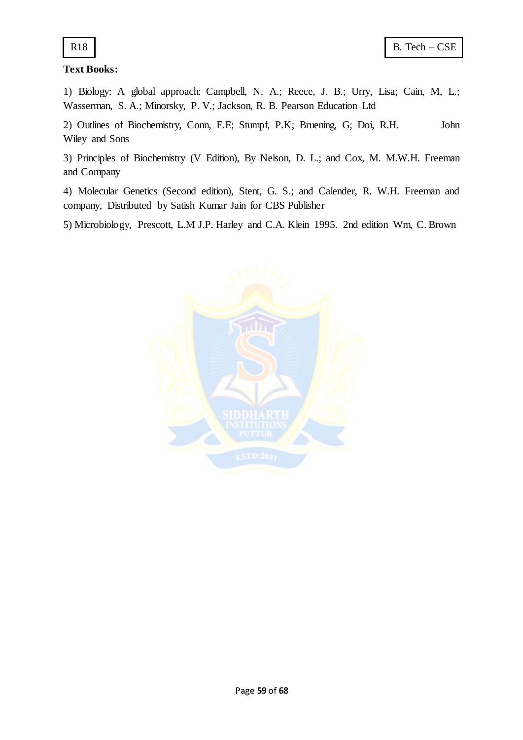

# **Text Books:**

1) Biology: A global approach: Campbell, N. A.; Reece, J. B.; Urry, Lisa; Cain, M, L.; Wasserman, S. A.; Minorsky, P. V.; Jackson, R. B. Pearson Education Ltd

2) Outlines of Biochemistry, Conn, E.E; Stumpf, P.K; Bruening, G; Doi, R.H. John Wiley and Sons

3) Principles of Biochemistry (V Edition), By Nelson, D. L.; and Cox, M. M.W.H. Freeman and Company

4) Molecular Genetics (Second edition), Stent, G. S.; and Calender, R. W.H. Freeman and company, Distributed by Satish Kumar Jain for CBS Publisher

5) Microbiology, Prescott, L.M J.P. Harley and C.A. Klein 1995. 2nd edition Wm, C. Brown

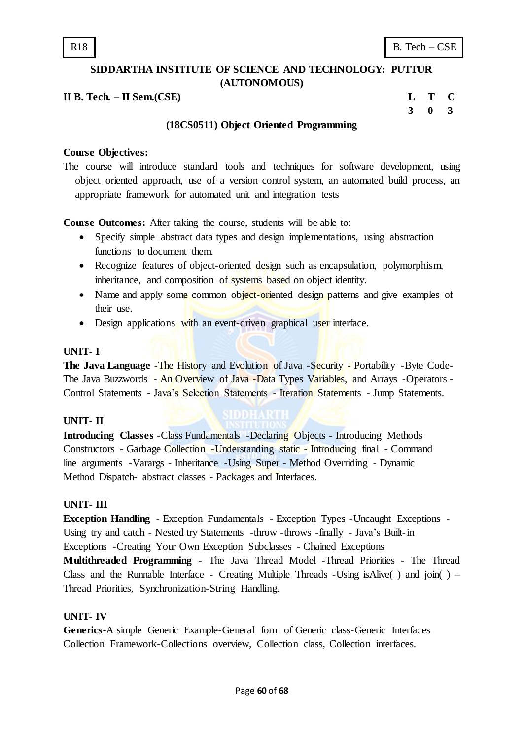**II B. Tech. – II Sem.(CSE) L T C**

**3 0 3**

# **(18CS0511) Object Oriented Programming**

#### **Course Objectives:**

The course will introduce standard tools and techniques for software development, using object oriented approach, use of a version control system, an automated build process, an appropriate framework for automated unit and integration tests

**Course Outcomes:** After taking the course, students will be able to:

- Specify simple abstract data types and design implementations, using abstraction functions to document them.
- Recognize features of object-oriented design such as encapsulation, polymorphism, inheritance, and composition of systems based on object identity.
- Name and apply some common object-oriented design patterns and give examples of their use.
- Design applications with an event-driven graphical user interface.

#### **UNIT- I**

**The Java Language** -The History and Evolution of Java -Security - Portability -Byte Code-The Java Buzzwords - An Overview of Java - Data Types Variables, and Arrays - Operators -Control Statements - Java"s Selection Statements - Iteration Statements - Jump Statements.

#### **UNIT- II**

**Introducing Classes** -Class Fundamentals -Declaring Objects - Introducing Methods Constructors - Garbage Collection -Understanding static - Introducing final - Command line arguments -Varargs - Inheritance -Using Super - Method Overriding - Dynamic Method Dispatch- abstract classes - Packages and Interfaces.

#### **UNIT- III**

**Exception Handling** - Exception Fundamentals - Exception Types -Uncaught Exceptions - Using try and catch - Nested try Statements -throw -throws -finally - Java"s Built-in Exceptions -Creating Your Own Exception Subclasses - Chained Exceptions **Multithreaded Programming** - The Java Thread Model -Thread Priorities - The Thread Class and the Runnable Interface - Creating Multiple Threads -Using isAlive( ) and join( ) – Thread Priorities, Synchronization-String Handling.

# **UNIT- IV**

**Generics-**A simple Generic Example-General form of Generic class-Generic Interfaces Collection Framework-Collections overview, Collection class, Collection interfaces.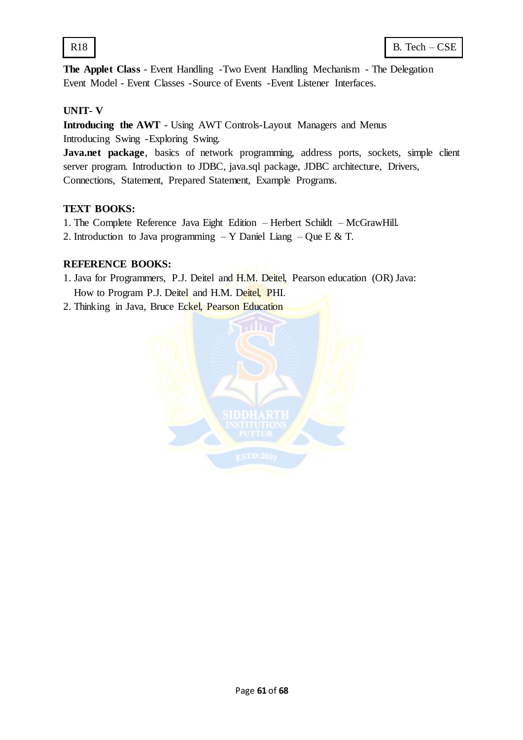

**The Applet Class** - Event Handling -Two Event Handling Mechanism - The Delegation Event Model - Event Classes -Source of Events -Event Listener Interfaces.

# **UNIT- V**

**Introducing the AWT** - Using AWT Controls-Layout Managers and Menus Introducing Swing -Exploring Swing.

Java.net package, basics of network programming, address ports, sockets, simple client server program. Introduction to JDBC, java.sql package, JDBC architecture, Drivers, Connections, Statement, Prepared Statement, Example Programs.

## **TEXT BOOKS:**

- 1. The Complete Reference Java Eight Edition Herbert Schildt McGrawHill.
- 2. Introduction to Java programming  $Y$  Daniel Liang  $Q$ ue E & T.

## **REFERENCE BOOKS:**

- 1. Java for Programmers, P.J. Deitel and H.M. Deitel, Pearson education (OR) Java: How to Program P.J. Deitel and H.M. Deitel, PHI.
- 2. Thinking in Java, Bruce Eckel, Pearson Education

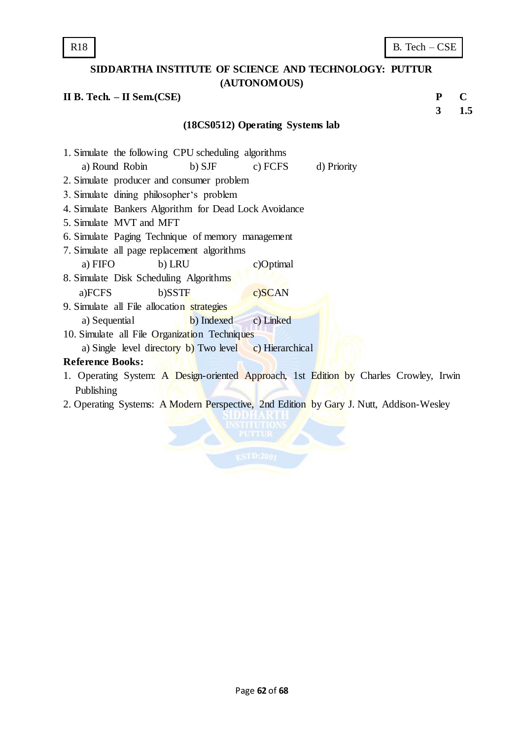# **II B. Tech. – II Sem.(CSE) P C**

**3 1.5**

#### **(18CS0512) Operating Systems lab**

- 1. Simulate the following CPU scheduling algorithms
- a) Round Robin b) SJF c) FCFS d) Priority
- 2. Simulate producer and consumer problem
- 3. Simulate dining philosopher"s problem
- 4. Simulate Bankers Algorithm for Dead Lock Avoidance
- 5. Simulate MVT and MFT
- 6. Simulate Paging Technique of memory management
- 7. Simulate all page replacement algorithms a) FIFO b) LRU c)Optimal
- 8. Simulate Disk Scheduling Algorithms a)FCFS b)SSTF c)SCAN
- 9. Simulate all File allocation strategies a) Sequential b) Indexed c) Linked
- 10. Simulate all File Organization Techniques
	- a) Single level directory **b**) Two level c) Hierarchical

# **Reference Books:**

- 1. Operating System: A Design-oriented Approach, 1st Edition by Charles Crowley, Irwin Publishing
- 2. Operating Systems: A Modern Perspective, 2nd Edition by Gary J. Nutt, Addison-Wesley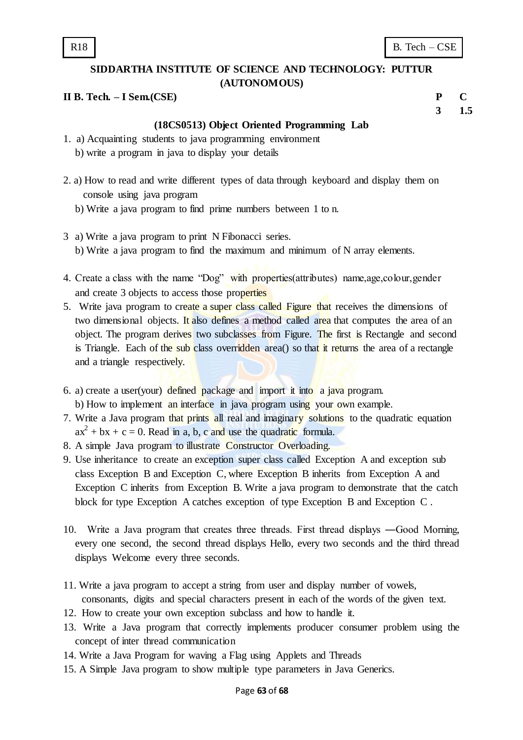**II B. Tech. – I Sem.(CSE) P C**

**3 1.5**

# **(18CS0513) Object Oriented Programming Lab**

- 1. a) Acquainting students to java programming environment b) write a program in java to display your details
- 2. a) How to read and write different types of data through keyboard and display them on console using java program
	- b) Write a java program to find prime numbers between 1 to n.
- 3 a) Write a java program to print N Fibonacci series. b) Write a java program to find the maximum and minimum of N array elements.
- 4. Create a class with the name "Dog" with properties(attributes) name,age,colour,gender and create 3 objects to access those properties
- 5. Write java program to create a super class called Figure that receives the dimensions of two dimensional objects. It also defines a method called area that computes the area of an object. The program derives two subclasses from Figure. The first is Rectangle and second is Triangle. Each of the sub class overridden area $($ ) so that it returns the area of a rectangle and a triangle respectively.
- 6. a) create a user(your) defined package and import it into a java program. b) How to implement an interface in java program using your own example.
- 7. Write a Java program that prints all real and imaginary solutions to the quadratic equation  $ax^{2} + bx + c = 0$ . Read in a, b, c and use the quadratic formula.
- 8. A simple Java program to illustrate Constructor Overloading.
- 9. Use inheritance to create an exception super class called Exception A and exception sub class Exception B and Exception C, where Exception B inherits from Exception A and Exception C inherits from Exception B. Write a java program to demonstrate that the catch block for type Exception A catches exception of type Exception B and Exception C .
- 10. Write a Java program that creates three threads. First thread displays ―Good Morning, every one second, the second thread displays Hello, every two seconds and the third thread displays Welcome every three seconds.
- 11. Write a java program to accept a string from user and display number of vowels, consonants, digits and special characters present in each of the words of the given text.
- 12. How to create your own exception subclass and how to handle it.
- 13. Write a Java program that correctly implements producer consumer problem using the concept of inter thread communication
- 14. Write a Java Program for waving a Flag using Applets and Threads
- 15. A Simple Java program to show multiple type parameters in Java Generics.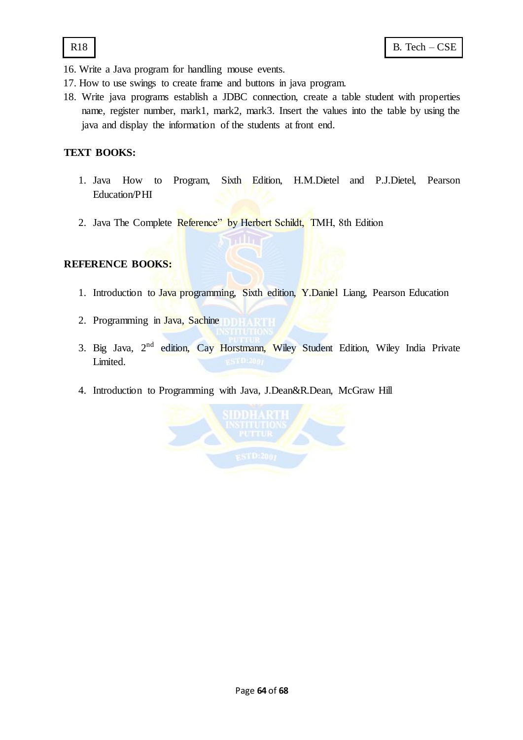- 16. Write a Java program for handling mouse events.
- 17. How to use swings to create frame and buttons in java program.
- 18. Write java programs establish a JDBC connection, create a table student with properties name, register number, mark1, mark2, mark3. Insert the values into the table by using the java and display the information of the students at front end.

# **TEXT BOOKS:**

- 1. Java How to Program, Sixth Edition, H.M.Dietel and P.J.Dietel, Pearson Education/PHI
- 2. Java The Complete Reference" by Herbert Schildt, TMH, 8th Edition

# **REFERENCE BOOKS:**

- 1. Introduction to Java programming, Sixth edition, Y.Daniel Liang, Pearson Education
- 2. Programming in Java, Sachine
- 3. Big Java, 2<sup>nd</sup> edition, Cay Horstmann, Wiley Student Edition, Wiley India Private Limited.
- 4. Introduction to Programming with Java, J.Dean&R.Dean, McGraw Hill

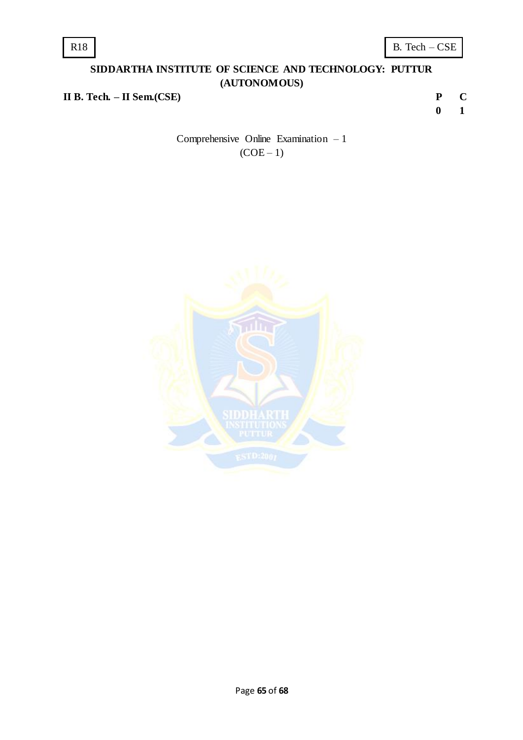**II B. Tech. – II Sem.(CSE) P C**

**0 1**

Comprehensive Online Examination – 1  $(COE-1)$ 

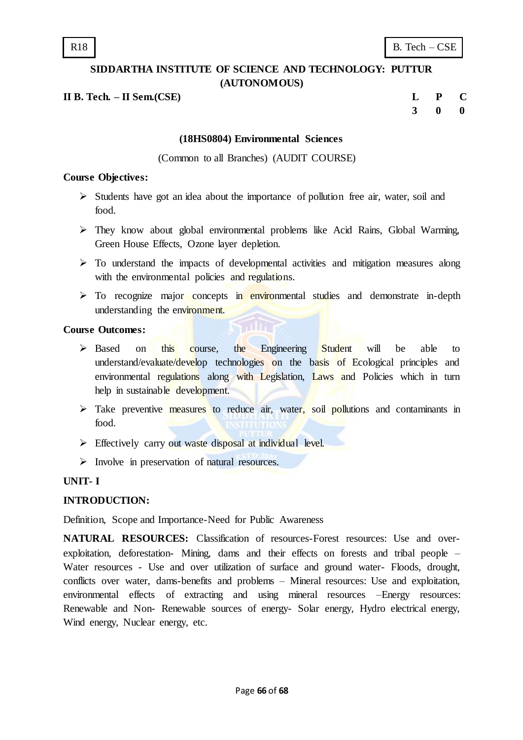**II B. Tech. – II Sem.(CSE) L P C**

#### **(18HS0804) Environmental Sciences**

(Common to all Branches) (AUDIT COURSE)

#### **Course Objectives:**

- $\triangleright$  Students have got an idea about the importance of pollution free air, water, soil and food.
- They know about global environmental problems like Acid Rains, Global Warming, Green House Effects, Ozone layer depletion.
- $\triangleright$  To understand the impacts of developmental activities and mitigation measures along with the environmental policies and regulations.
- $\triangleright$  To recognize major concepts in environmental studies and demonstrate in-depth understanding the environment.

#### **Course Outcomes:**

- > Based on this course, the Engineering Student will be able to understand/evaluate/develop technologies on the basis of Ecological principles and environmental regulations along with Legislation, Laws and Policies which in turn help in sustainable development.
- $\triangleright$  Take preventive measures to reduce air, water, soil pollutions and contaminants in food.
- $\triangleright$  Effectively carry out waste disposal at individual level.
- $\triangleright$  Involve in preservation of natural resources.

#### **UNIT- I**

#### **INTRODUCTION:**

Definition, Scope and Importance-Need for Public Awareness

**NATURAL RESOURCES:** Classification of resources-Forest resources: Use and overexploitation, deforestation- Mining, dams and their effects on forests and tribal people – Water resources - Use and over utilization of surface and ground water- Floods, drought, conflicts over water, dams-benefits and problems – Mineral resources: Use and exploitation, environmental effects of extracting and using mineral resources –Energy resources: Renewable and Non- Renewable sources of energy- Solar energy, Hydro electrical energy, Wind energy, Nuclear energy, etc.

**3 0 0**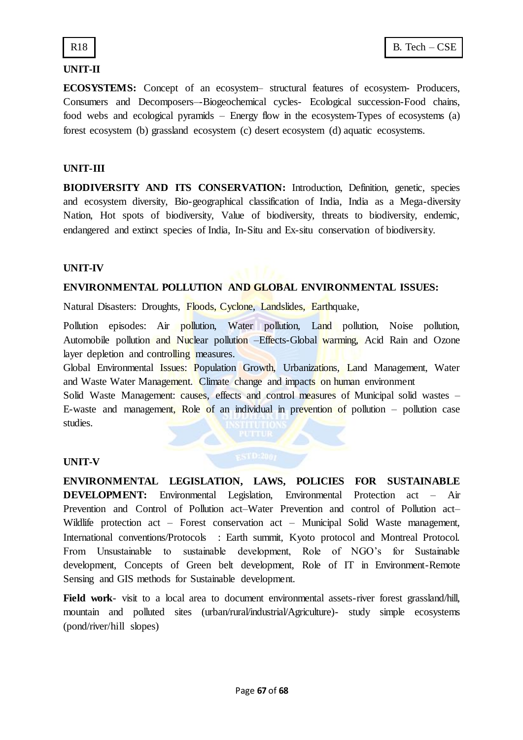

# **UNIT-II**

**ECOSYSTEMS:** Concept of an ecosystem– structural features of ecosystem- Producers, Consumers and Decomposers–-Biogeochemical cycles- Ecological succession-Food chains, food webs and ecological pyramids – Energy flow in the ecosystem-Types of ecosystems (a) forest ecosystem (b) grassland ecosystem (c) desert ecosystem (d) aquatic ecosystems.

# **UNIT-III**

**BIODIVERSITY AND ITS CONSERVATION:** Introduction, Definition, genetic, species and ecosystem diversity, Bio-geographical classification of India, India as a Mega-diversity Nation, Hot spots of biodiversity, Value of biodiversity, threats to biodiversity, endemic, endangered and extinct species of India, In-Situ and Ex-situ conservation of biodiversity.

# **UNIT-IV**

# **ENVIRONMENTAL POLLUTION AND GLOBAL ENVIRONMENTAL ISSUES:**

Natural Disasters: Droughts, Floods, Cyclone, Landslides, Earthquake,

Pollution episodes: Air pollution, Water pollution, Land pollution, Noise pollution, Automobile pollution and Nuclear pollution –Effects-Global warming, Acid Rain and Ozone layer depletion and controlling measures.

Global Environmental Issues: Population Growth, Urbanizations, Land Management, Water and Waste Water Management. Climate change and impacts on human environment

Solid Waste Management: causes, effects and control measures of Municipal solid wastes – E-waste and management, Role of an individual in prevention of pollution – pollution case studies.

# **UNIT-V**

**ENVIRONMENTAL LEGISLATION, LAWS, POLICIES FOR SUSTAINABLE DEVELOPMENT:** Environmental Legislation, Environmental Protection act – Air Prevention and Control of Pollution act–Water Prevention and control of Pollution act– Wildlife protection act – Forest conservation act – Municipal Solid Waste management, International conventions/Protocols : Earth summit, Kyoto protocol and Montreal Protocol. From Unsustainable to sustainable development, Role of NGO's for Sustainable development, Concepts of Green belt development, Role of IT in Environment-Remote Sensing and GIS methods for Sustainable development.

Field work- visit to a local area to document environmental assets-river forest grassland/hill, mountain and polluted sites (urban/rural/industrial/Agriculture)- study simple ecosystems (pond/river/hill slopes)